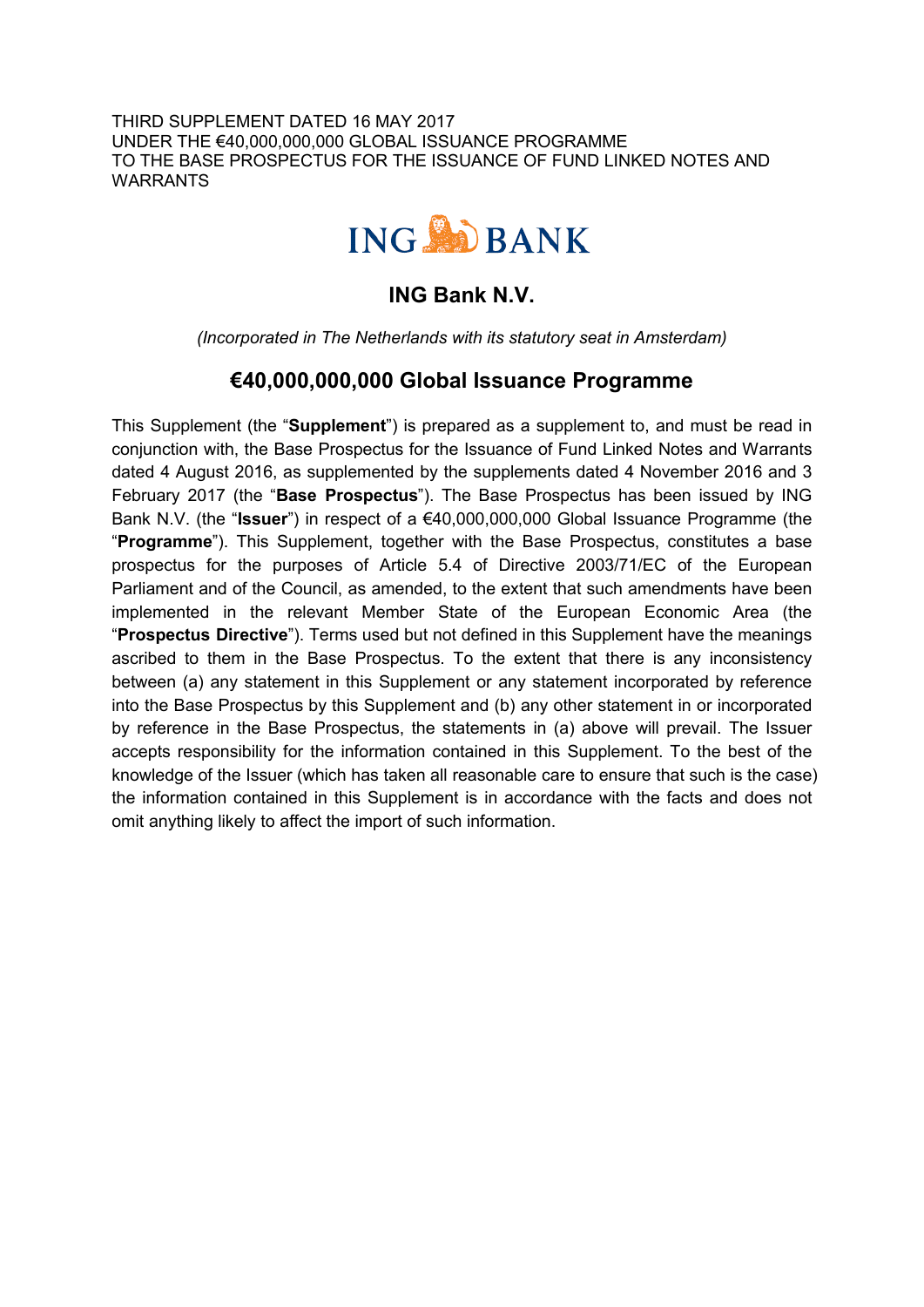THIRD SUPPLEMENT DATED 16 MAY 2017 UNDER THE €40,000,000,000 GLOBAL ISSUANCE PROGRAMME TO THE BASE PROSPECTUS FOR THE ISSUANCE OF FUND LINKED NOTES AND WARRANTS



# **ING Bank N.V.**

*(Incorporated in The Netherlands with its statutory seat in Amsterdam)*

# **€40,000,000,000 Global Issuance Programme**

This Supplement (the "**Supplement**") is prepared as a supplement to, and must be read in conjunction with, the Base Prospectus for the Issuance of Fund Linked Notes and Warrants dated 4 August 2016, as supplemented by the supplements dated 4 November 2016 and 3 February 2017 (the "**Base Prospectus**"). The Base Prospectus has been issued by ING Bank N.V. (the "**Issuer**") in respect of a €40,000,000,000 Global Issuance Programme (the "**Programme**"). This Supplement, together with the Base Prospectus, constitutes a base prospectus for the purposes of Article 5.4 of Directive 2003/71/EC of the European Parliament and of the Council, as amended, to the extent that such amendments have been implemented in the relevant Member State of the European Economic Area (the "**Prospectus Directive**"). Terms used but not defined in this Supplement have the meanings ascribed to them in the Base Prospectus. To the extent that there is any inconsistency between (a) any statement in this Supplement or any statement incorporated by reference into the Base Prospectus by this Supplement and (b) any other statement in or incorporated by reference in the Base Prospectus, the statements in (a) above will prevail. The Issuer accepts responsibility for the information contained in this Supplement. To the best of the knowledge of the Issuer (which has taken all reasonable care to ensure that such is the case) the information contained in this Supplement is in accordance with the facts and does not omit anything likely to affect the import of such information.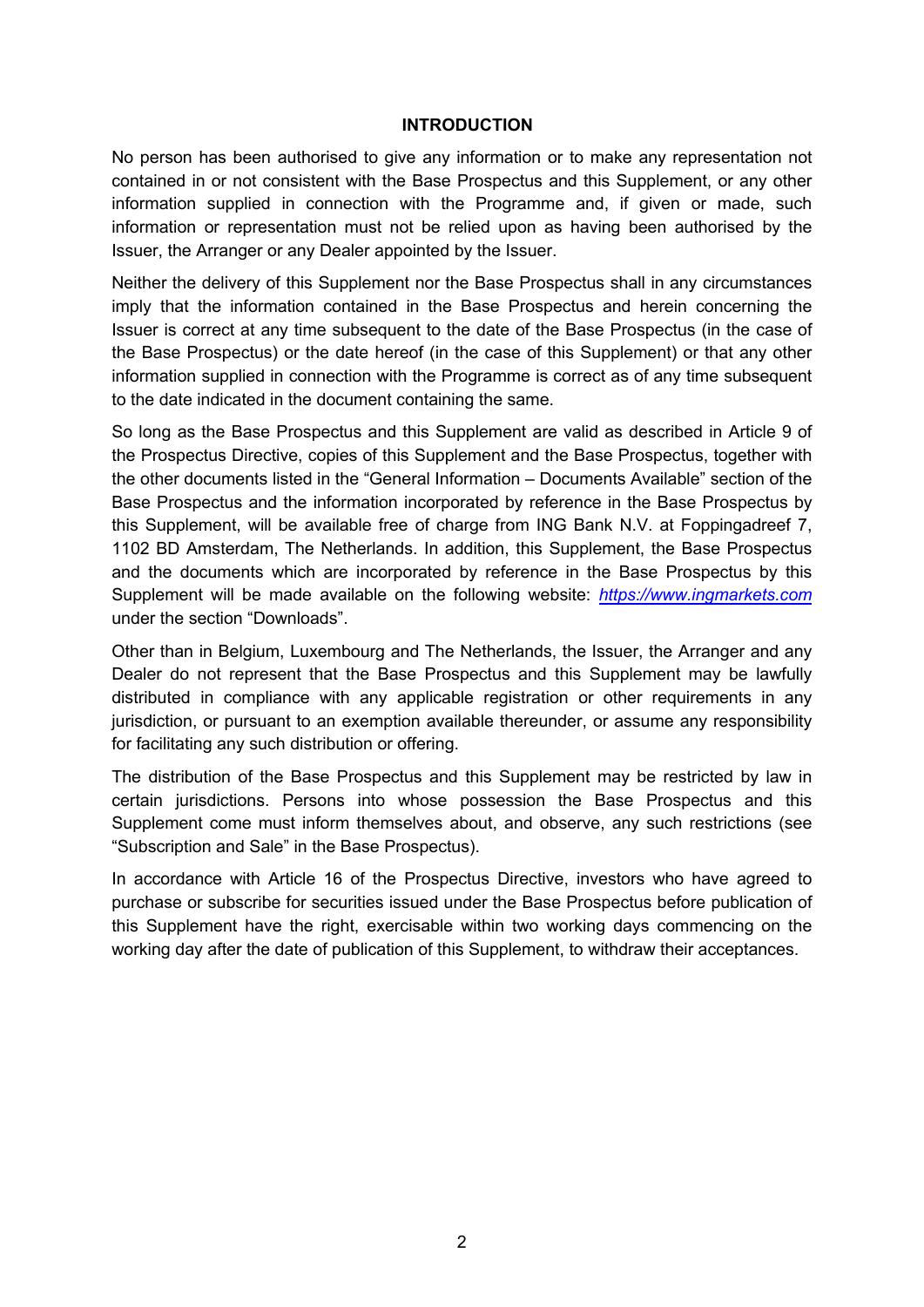#### **INTRODUCTION**

No person has been authorised to give any information or to make any representation not contained in or not consistent with the Base Prospectus and this Supplement, or any other information supplied in connection with the Programme and, if given or made, such information or representation must not be relied upon as having been authorised by the Issuer, the Arranger or any Dealer appointed by the Issuer.

Neither the delivery of this Supplement nor the Base Prospectus shall in any circumstances imply that the information contained in the Base Prospectus and herein concerning the Issuer is correct at any time subsequent to the date of the Base Prospectus (in the case of the Base Prospectus) or the date hereof (in the case of this Supplement) or that any other information supplied in connection with the Programme is correct as of any time subsequent to the date indicated in the document containing the same.

So long as the Base Prospectus and this Supplement are valid as described in Article 9 of the Prospectus Directive, copies of this Supplement and the Base Prospectus, together with the other documents listed in the "General Information – Documents Available" section of the Base Prospectus and the information incorporated by reference in the Base Prospectus by this Supplement, will be available free of charge from ING Bank N.V. at Foppingadreef 7, 1102 BD Amsterdam, The Netherlands. In addition, this Supplement, the Base Prospectus and the documents which are incorporated by reference in the Base Prospectus by this Supplement will be made available on the following website: *https://www.ingmarkets.com* under the section "Downloads".

Other than in Belgium, Luxembourg and The Netherlands, the Issuer, the Arranger and any Dealer do not represent that the Base Prospectus and this Supplement may be lawfully distributed in compliance with any applicable registration or other requirements in any jurisdiction, or pursuant to an exemption available thereunder, or assume any responsibility for facilitating any such distribution or offering.

The distribution of the Base Prospectus and this Supplement may be restricted by law in certain jurisdictions. Persons into whose possession the Base Prospectus and this Supplement come must inform themselves about, and observe, any such restrictions (see "Subscription and Sale" in the Base Prospectus).

In accordance with Article 16 of the Prospectus Directive, investors who have agreed to purchase or subscribe for securities issued under the Base Prospectus before publication of this Supplement have the right, exercisable within two working days commencing on the working day after the date of publication of this Supplement, to withdraw their acceptances.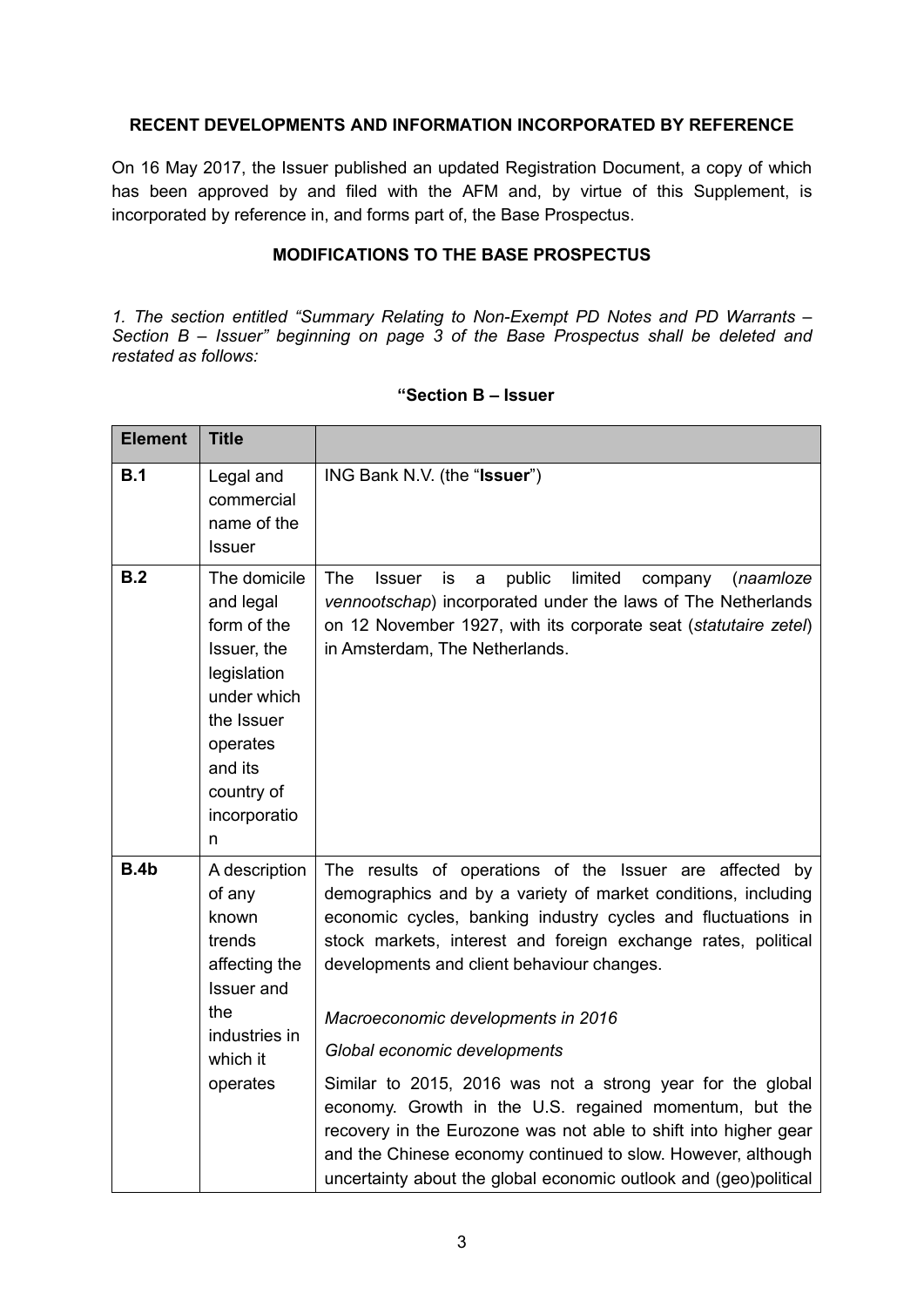## **RECENT DEVELOPMENTS AND INFORMATION INCORPORATED BY REFERENCE**

On 16 May 2017, the Issuer published an updated Registration Document, a copy of which has been approved by and filed with the AFM and, by virtue of this Supplement, is incorporated by reference in, and forms part of, the Base Prospectus.

# **MODIFICATIONS TO THE BASE PROSPECTUS**

*1. The section entitled "Summary Relating to Non-Exempt PD Notes and PD Warrants – Section B – Issuer" beginning on page 3 of the Base Prospectus shall be deleted and restated as follows:*

| <b>Element</b> | <b>Title</b>                                                                                                                                                  |                                                                                                                                                                                                                                                                                                                                                                                                                                                                                                                                                                                                                                                                                                              |  |
|----------------|---------------------------------------------------------------------------------------------------------------------------------------------------------------|--------------------------------------------------------------------------------------------------------------------------------------------------------------------------------------------------------------------------------------------------------------------------------------------------------------------------------------------------------------------------------------------------------------------------------------------------------------------------------------------------------------------------------------------------------------------------------------------------------------------------------------------------------------------------------------------------------------|--|
| B.1            | Legal and<br>commercial<br>name of the<br><b>Issuer</b>                                                                                                       | ING Bank N.V. (the "Issuer")                                                                                                                                                                                                                                                                                                                                                                                                                                                                                                                                                                                                                                                                                 |  |
| B.2            | The domicile<br>and legal<br>form of the<br>Issuer, the<br>legislation<br>under which<br>the Issuer<br>operates<br>and its<br>country of<br>incorporatio<br>n | <b>The</b><br>public<br>limited<br><b>Issuer</b><br>is<br>company<br>(naamloze<br>a<br>vennootschap) incorporated under the laws of The Netherlands<br>on 12 November 1927, with its corporate seat (statutaire zetel)<br>in Amsterdam, The Netherlands.                                                                                                                                                                                                                                                                                                                                                                                                                                                     |  |
| <b>B.4b</b>    | A description<br>of any<br>known<br>trends<br>affecting the<br><b>Issuer</b> and<br>the<br>industries in<br>which it<br>operates                              | The results of operations of the Issuer are affected by<br>demographics and by a variety of market conditions, including<br>economic cycles, banking industry cycles and fluctuations in<br>stock markets, interest and foreign exchange rates, political<br>developments and client behaviour changes.<br>Macroeconomic developments in 2016<br>Global economic developments<br>Similar to 2015, 2016 was not a strong year for the global<br>economy. Growth in the U.S. regained momentum, but the<br>recovery in the Eurozone was not able to shift into higher gear<br>and the Chinese economy continued to slow. However, although<br>uncertainty about the global economic outlook and (geo)political |  |

#### **"Section B – Issuer**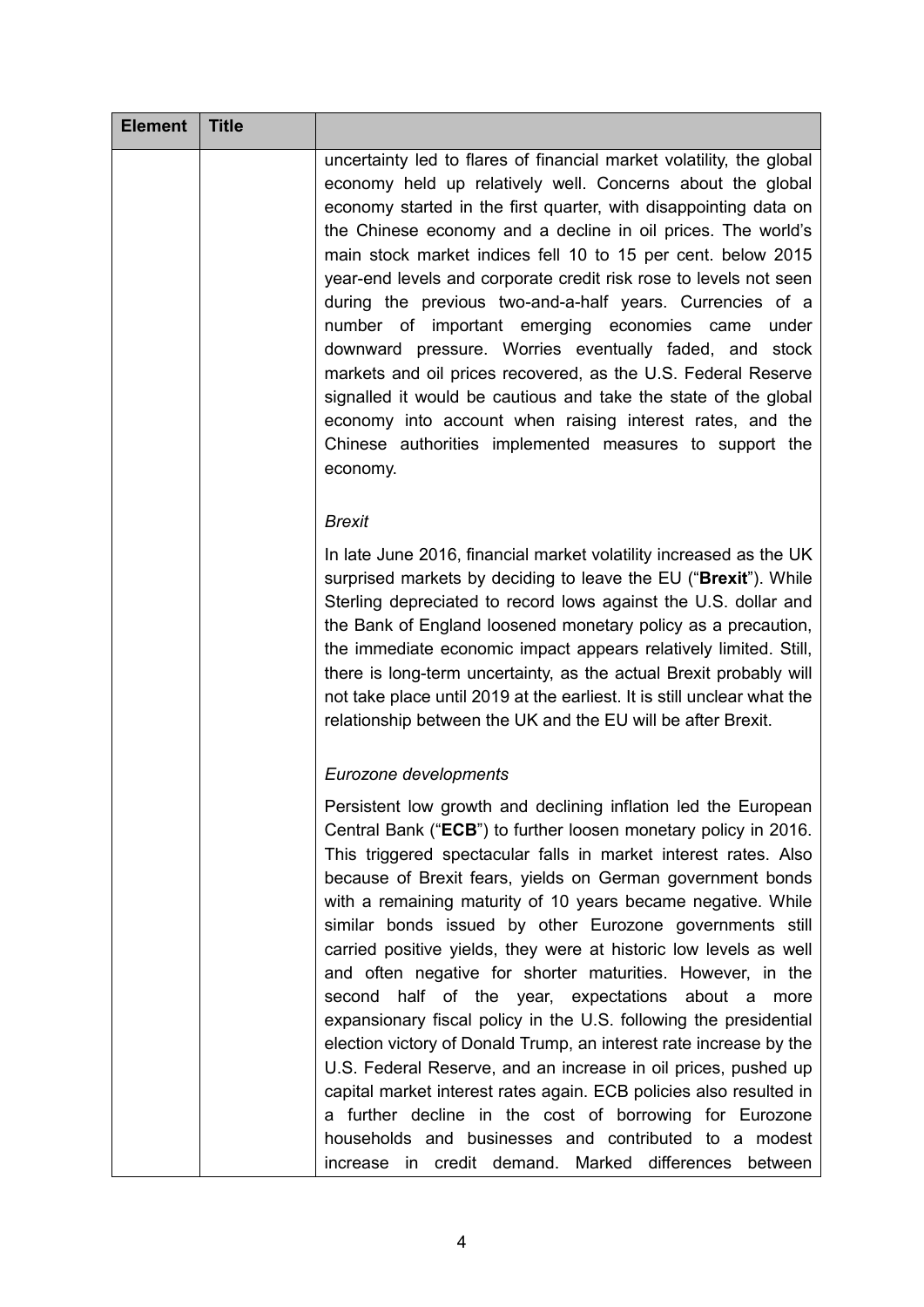| <b>Element</b> | <b>Title</b> |                                                                                                                                                                                                                                                                                                                                                                                                                                                                                                                                                                                                                                                                                                                                                                                                                                                                                                                                                                                                                                                            |
|----------------|--------------|------------------------------------------------------------------------------------------------------------------------------------------------------------------------------------------------------------------------------------------------------------------------------------------------------------------------------------------------------------------------------------------------------------------------------------------------------------------------------------------------------------------------------------------------------------------------------------------------------------------------------------------------------------------------------------------------------------------------------------------------------------------------------------------------------------------------------------------------------------------------------------------------------------------------------------------------------------------------------------------------------------------------------------------------------------|
|                |              | uncertainty led to flares of financial market volatility, the global<br>economy held up relatively well. Concerns about the global<br>economy started in the first quarter, with disappointing data on<br>the Chinese economy and a decline in oil prices. The world's<br>main stock market indices fell 10 to 15 per cent. below 2015<br>year-end levels and corporate credit risk rose to levels not seen<br>during the previous two-and-a-half years. Currencies of a<br>number of important emerging economies came<br>under<br>downward pressure. Worries eventually faded, and stock<br>markets and oil prices recovered, as the U.S. Federal Reserve<br>signalled it would be cautious and take the state of the global<br>economy into account when raising interest rates, and the<br>Chinese authorities implemented measures to support the<br>economy.                                                                                                                                                                                         |
|                |              | <b>Brexit</b>                                                                                                                                                                                                                                                                                                                                                                                                                                                                                                                                                                                                                                                                                                                                                                                                                                                                                                                                                                                                                                              |
|                |              | In late June 2016, financial market volatility increased as the UK<br>surprised markets by deciding to leave the EU ("Brexit"). While<br>Sterling depreciated to record lows against the U.S. dollar and<br>the Bank of England loosened monetary policy as a precaution,<br>the immediate economic impact appears relatively limited. Still,<br>there is long-term uncertainty, as the actual Brexit probably will<br>not take place until 2019 at the earliest. It is still unclear what the<br>relationship between the UK and the EU will be after Brexit.                                                                                                                                                                                                                                                                                                                                                                                                                                                                                             |
|                |              | Eurozone developments                                                                                                                                                                                                                                                                                                                                                                                                                                                                                                                                                                                                                                                                                                                                                                                                                                                                                                                                                                                                                                      |
|                |              | Persistent low growth and declining inflation led the European<br>Central Bank ("ECB") to further loosen monetary policy in 2016.<br>This triggered spectacular falls in market interest rates. Also<br>because of Brexit fears, yields on German government bonds<br>with a remaining maturity of 10 years became negative. While<br>similar bonds issued by other Eurozone governments still<br>carried positive yields, they were at historic low levels as well<br>and often negative for shorter maturities. However, in the<br>half of the year, expectations about a more<br>second<br>expansionary fiscal policy in the U.S. following the presidential<br>election victory of Donald Trump, an interest rate increase by the<br>U.S. Federal Reserve, and an increase in oil prices, pushed up<br>capital market interest rates again. ECB policies also resulted in<br>a further decline in the cost of borrowing for Eurozone<br>households and businesses and contributed to a modest<br>increase in credit demand. Marked differences between |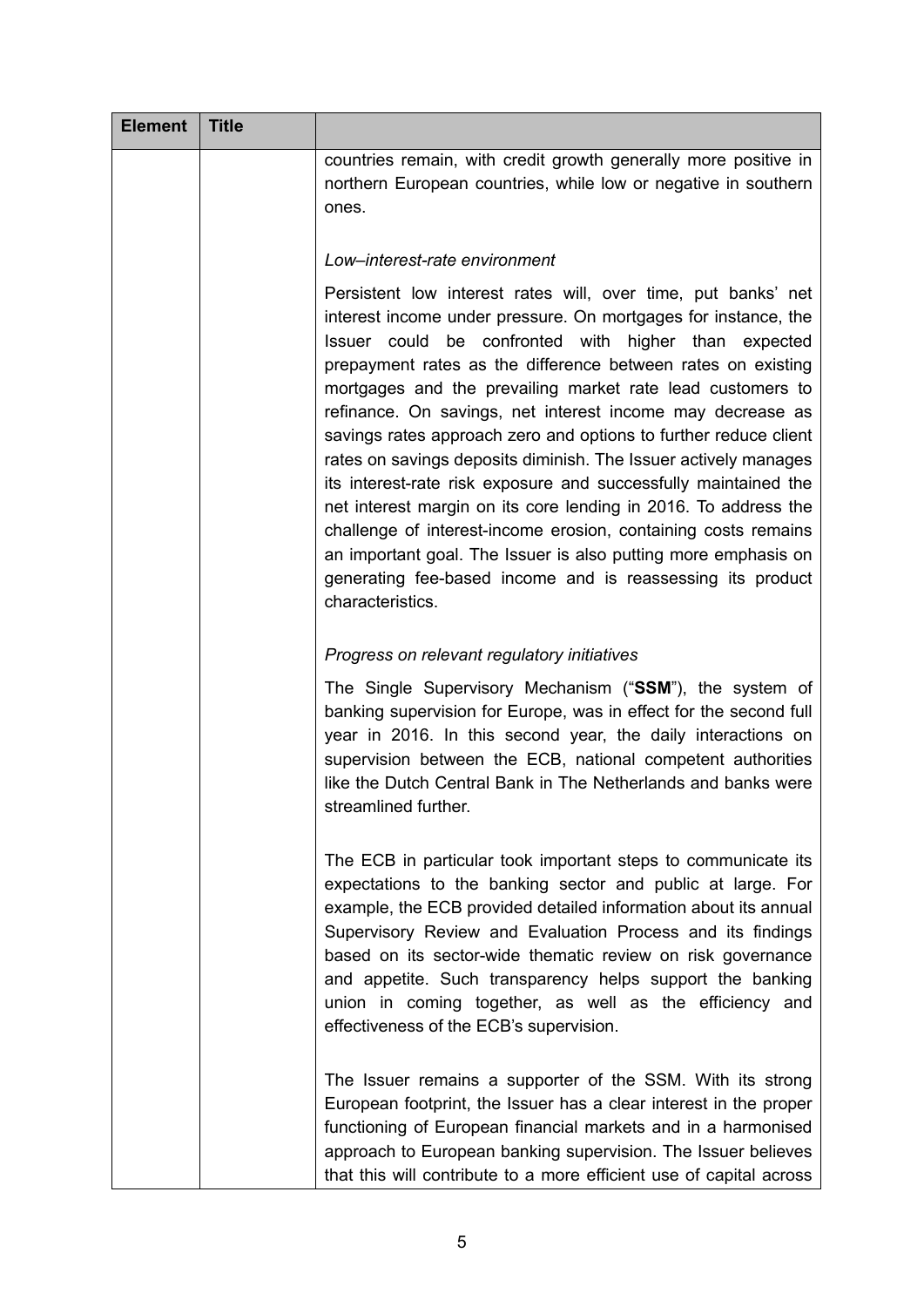| <b>Element</b> | <b>Title</b> |                                                                                                                                                                                                                                                                                                                                                                                                                                                                                                                                                                                                                                                                                                                                                                                                                                                                                              |
|----------------|--------------|----------------------------------------------------------------------------------------------------------------------------------------------------------------------------------------------------------------------------------------------------------------------------------------------------------------------------------------------------------------------------------------------------------------------------------------------------------------------------------------------------------------------------------------------------------------------------------------------------------------------------------------------------------------------------------------------------------------------------------------------------------------------------------------------------------------------------------------------------------------------------------------------|
|                |              | countries remain, with credit growth generally more positive in<br>northern European countries, while low or negative in southern<br>ones.                                                                                                                                                                                                                                                                                                                                                                                                                                                                                                                                                                                                                                                                                                                                                   |
|                |              | Low-interest-rate environment                                                                                                                                                                                                                                                                                                                                                                                                                                                                                                                                                                                                                                                                                                                                                                                                                                                                |
|                |              | Persistent low interest rates will, over time, put banks' net<br>interest income under pressure. On mortgages for instance, the<br>be confronted with<br>Issuer could<br>higher than expected<br>prepayment rates as the difference between rates on existing<br>mortgages and the prevailing market rate lead customers to<br>refinance. On savings, net interest income may decrease as<br>savings rates approach zero and options to further reduce client<br>rates on savings deposits diminish. The Issuer actively manages<br>its interest-rate risk exposure and successfully maintained the<br>net interest margin on its core lending in 2016. To address the<br>challenge of interest-income erosion, containing costs remains<br>an important goal. The Issuer is also putting more emphasis on<br>generating fee-based income and is reassessing its product<br>characteristics. |
|                |              | Progress on relevant regulatory initiatives                                                                                                                                                                                                                                                                                                                                                                                                                                                                                                                                                                                                                                                                                                                                                                                                                                                  |
|                |              | The Single Supervisory Mechanism ("SSM"), the system of<br>banking supervision for Europe, was in effect for the second full<br>year in 2016. In this second year, the daily interactions on<br>supervision between the ECB, national competent authorities<br>like the Dutch Central Bank in The Netherlands and banks were<br>streamlined further.                                                                                                                                                                                                                                                                                                                                                                                                                                                                                                                                         |
|                |              | The ECB in particular took important steps to communicate its<br>expectations to the banking sector and public at large. For<br>example, the ECB provided detailed information about its annual<br>Supervisory Review and Evaluation Process and its findings<br>based on its sector-wide thematic review on risk governance<br>and appetite. Such transparency helps support the banking<br>union in coming together, as well as the efficiency and<br>effectiveness of the ECB's supervision.                                                                                                                                                                                                                                                                                                                                                                                              |
|                |              | The Issuer remains a supporter of the SSM. With its strong<br>European footprint, the Issuer has a clear interest in the proper<br>functioning of European financial markets and in a harmonised<br>approach to European banking supervision. The Issuer believes<br>that this will contribute to a more efficient use of capital across                                                                                                                                                                                                                                                                                                                                                                                                                                                                                                                                                     |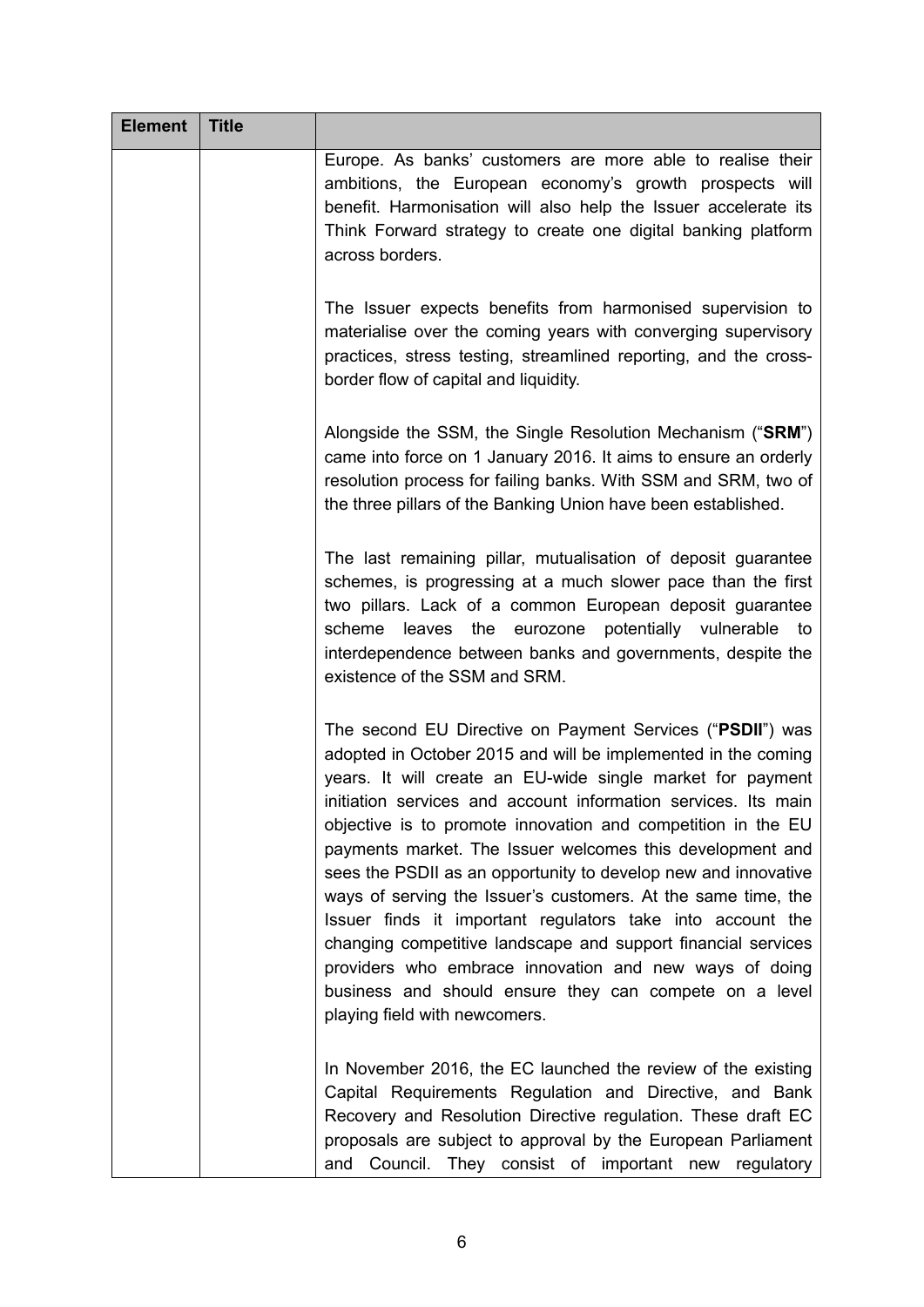| <b>Element</b> | <b>Title</b> |                                                                                                                                                                                                                                                                                                                                                                                                                                                                                                                                                                                                                                                                                                                                                                                                                |
|----------------|--------------|----------------------------------------------------------------------------------------------------------------------------------------------------------------------------------------------------------------------------------------------------------------------------------------------------------------------------------------------------------------------------------------------------------------------------------------------------------------------------------------------------------------------------------------------------------------------------------------------------------------------------------------------------------------------------------------------------------------------------------------------------------------------------------------------------------------|
|                |              | Europe. As banks' customers are more able to realise their<br>ambitions, the European economy's growth prospects will<br>benefit. Harmonisation will also help the Issuer accelerate its<br>Think Forward strategy to create one digital banking platform<br>across borders.                                                                                                                                                                                                                                                                                                                                                                                                                                                                                                                                   |
|                |              | The Issuer expects benefits from harmonised supervision to<br>materialise over the coming years with converging supervisory<br>practices, stress testing, streamlined reporting, and the cross-<br>border flow of capital and liquidity.                                                                                                                                                                                                                                                                                                                                                                                                                                                                                                                                                                       |
|                |              | Alongside the SSM, the Single Resolution Mechanism ("SRM")<br>came into force on 1 January 2016. It aims to ensure an orderly<br>resolution process for failing banks. With SSM and SRM, two of<br>the three pillars of the Banking Union have been established.                                                                                                                                                                                                                                                                                                                                                                                                                                                                                                                                               |
|                |              | The last remaining pillar, mutualisation of deposit guarantee<br>schemes, is progressing at a much slower pace than the first<br>two pillars. Lack of a common European deposit guarantee<br>scheme<br>leaves the eurozone<br>potentially vulnerable<br>to<br>interdependence between banks and governments, despite the<br>existence of the SSM and SRM.                                                                                                                                                                                                                                                                                                                                                                                                                                                      |
|                |              | The second EU Directive on Payment Services ("PSDII") was<br>adopted in October 2015 and will be implemented in the coming<br>years. It will create an EU-wide single market for payment<br>initiation services and account information services. Its main<br>objective is to promote innovation and competition in the EU<br>payments market. The Issuer welcomes this development and<br>sees the PSDII as an opportunity to develop new and innovative<br>ways of serving the Issuer's customers. At the same time, the<br>Issuer finds it important regulators take into account the<br>changing competitive landscape and support financial services<br>providers who embrace innovation and new ways of doing<br>business and should ensure they can compete on a level<br>playing field with newcomers. |
|                |              | In November 2016, the EC launched the review of the existing<br>Capital Requirements Regulation and Directive, and Bank<br>Recovery and Resolution Directive regulation. These draft EC<br>proposals are subject to approval by the European Parliament<br>Council. They consist of important new regulatory<br>and                                                                                                                                                                                                                                                                                                                                                                                                                                                                                            |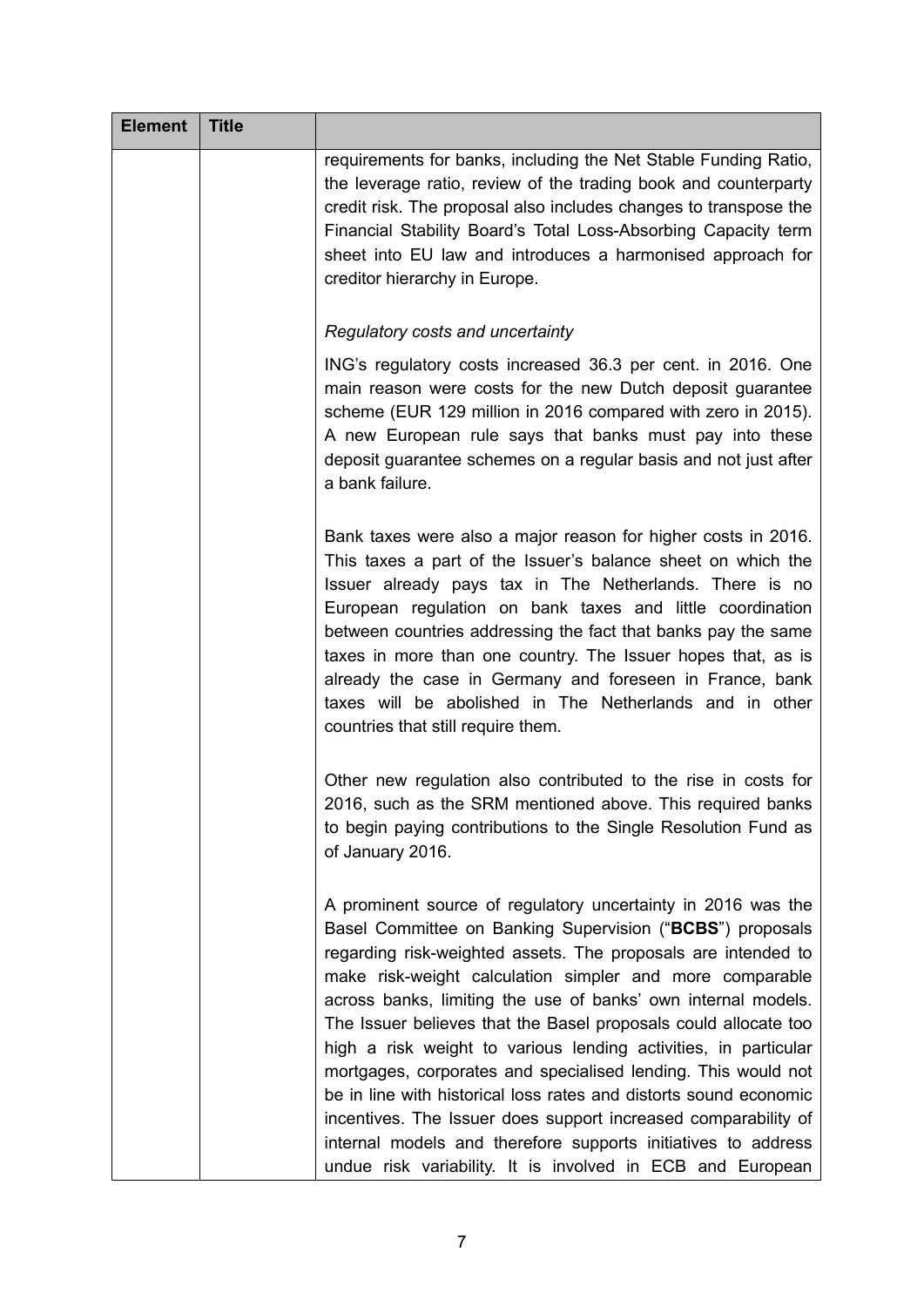| <b>Element</b> | <b>Title</b> |                                                                                                                                                                                                                                                                                                                                                                                                                                                                                                                                                                                                                                                                                                                                                                                                      |
|----------------|--------------|------------------------------------------------------------------------------------------------------------------------------------------------------------------------------------------------------------------------------------------------------------------------------------------------------------------------------------------------------------------------------------------------------------------------------------------------------------------------------------------------------------------------------------------------------------------------------------------------------------------------------------------------------------------------------------------------------------------------------------------------------------------------------------------------------|
|                |              | requirements for banks, including the Net Stable Funding Ratio,<br>the leverage ratio, review of the trading book and counterparty<br>credit risk. The proposal also includes changes to transpose the<br>Financial Stability Board's Total Loss-Absorbing Capacity term<br>sheet into EU law and introduces a harmonised approach for<br>creditor hierarchy in Europe.                                                                                                                                                                                                                                                                                                                                                                                                                              |
|                |              | Regulatory costs and uncertainty                                                                                                                                                                                                                                                                                                                                                                                                                                                                                                                                                                                                                                                                                                                                                                     |
|                |              | ING's regulatory costs increased 36.3 per cent. in 2016. One<br>main reason were costs for the new Dutch deposit guarantee<br>scheme (EUR 129 million in 2016 compared with zero in 2015).<br>A new European rule says that banks must pay into these<br>deposit guarantee schemes on a regular basis and not just after<br>a bank failure.                                                                                                                                                                                                                                                                                                                                                                                                                                                          |
|                |              | Bank taxes were also a major reason for higher costs in 2016.<br>This taxes a part of the Issuer's balance sheet on which the<br>Issuer already pays tax in The Netherlands. There is no<br>European regulation on bank taxes and little coordination<br>between countries addressing the fact that banks pay the same<br>taxes in more than one country. The Issuer hopes that, as is<br>already the case in Germany and foreseen in France, bank<br>taxes will be abolished in The Netherlands and in other<br>countries that still require them.                                                                                                                                                                                                                                                  |
|                |              | Other new regulation also contributed to the rise in costs for<br>2016, such as the SRM mentioned above. This required banks<br>to begin paying contributions to the Single Resolution Fund as<br>of January 2016.                                                                                                                                                                                                                                                                                                                                                                                                                                                                                                                                                                                   |
|                |              | A prominent source of regulatory uncertainty in 2016 was the<br>Basel Committee on Banking Supervision ("BCBS") proposals<br>regarding risk-weighted assets. The proposals are intended to<br>make risk-weight calculation simpler and more comparable<br>across banks, limiting the use of banks' own internal models.<br>The Issuer believes that the Basel proposals could allocate too<br>high a risk weight to various lending activities, in particular<br>mortgages, corporates and specialised lending. This would not<br>be in line with historical loss rates and distorts sound economic<br>incentives. The Issuer does support increased comparability of<br>internal models and therefore supports initiatives to address<br>undue risk variability. It is involved in ECB and European |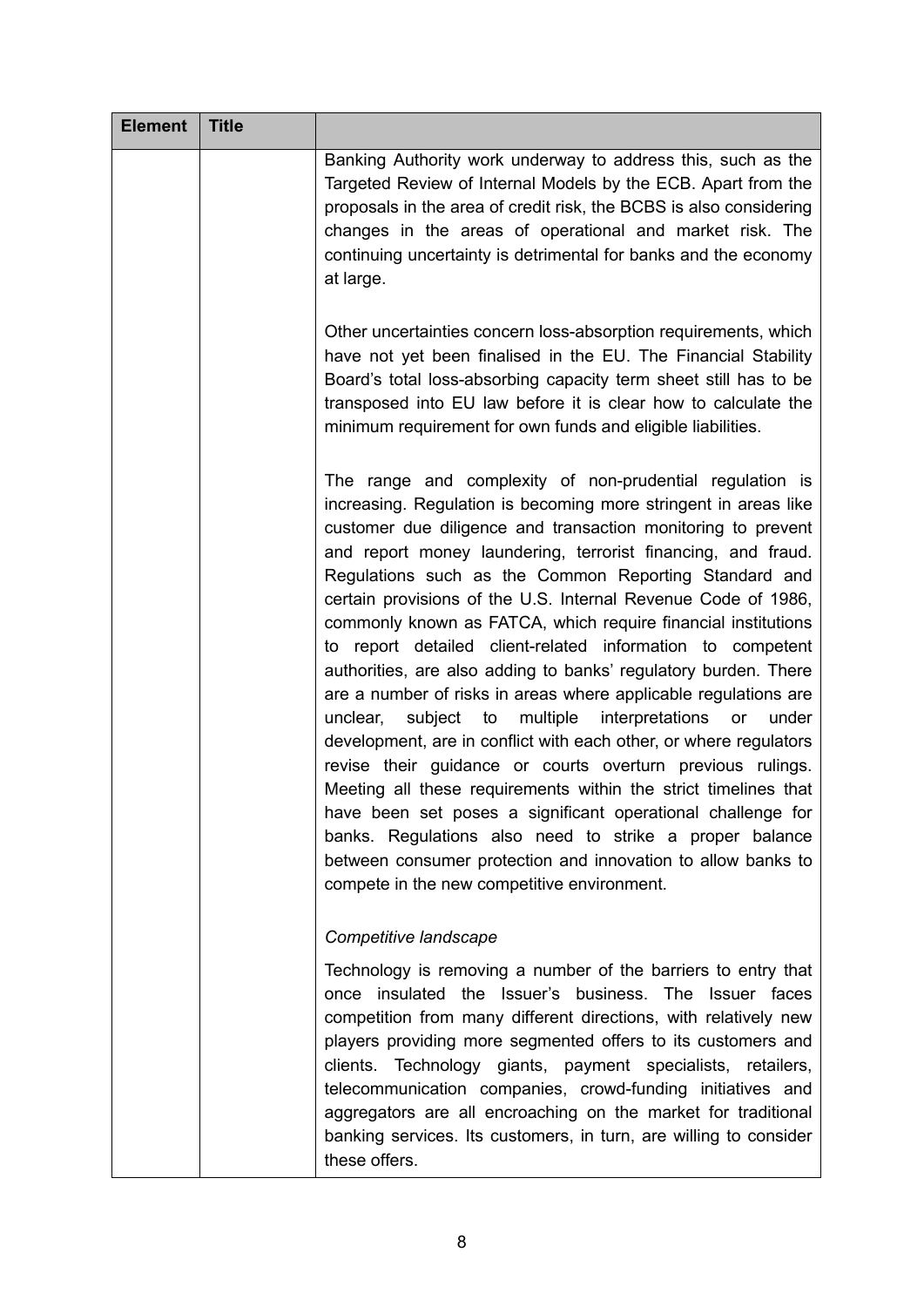| <b>Element</b> | <b>Title</b> |                                                                                                                                                                                                                                                                                                                                                                                                                                                                                                                                                                                                                                                                                                                                                                                                                                                                                                                                                                                                                                                                                                                                                                                |
|----------------|--------------|--------------------------------------------------------------------------------------------------------------------------------------------------------------------------------------------------------------------------------------------------------------------------------------------------------------------------------------------------------------------------------------------------------------------------------------------------------------------------------------------------------------------------------------------------------------------------------------------------------------------------------------------------------------------------------------------------------------------------------------------------------------------------------------------------------------------------------------------------------------------------------------------------------------------------------------------------------------------------------------------------------------------------------------------------------------------------------------------------------------------------------------------------------------------------------|
|                |              | Banking Authority work underway to address this, such as the<br>Targeted Review of Internal Models by the ECB. Apart from the<br>proposals in the area of credit risk, the BCBS is also considering<br>changes in the areas of operational and market risk. The<br>continuing uncertainty is detrimental for banks and the economy<br>at large.                                                                                                                                                                                                                                                                                                                                                                                                                                                                                                                                                                                                                                                                                                                                                                                                                                |
|                |              | Other uncertainties concern loss-absorption requirements, which<br>have not yet been finalised in the EU. The Financial Stability<br>Board's total loss-absorbing capacity term sheet still has to be<br>transposed into EU law before it is clear how to calculate the<br>minimum requirement for own funds and eligible liabilities.                                                                                                                                                                                                                                                                                                                                                                                                                                                                                                                                                                                                                                                                                                                                                                                                                                         |
|                |              | The range and complexity of non-prudential regulation is<br>increasing. Regulation is becoming more stringent in areas like<br>customer due diligence and transaction monitoring to prevent<br>and report money laundering, terrorist financing, and fraud.<br>Regulations such as the Common Reporting Standard and<br>certain provisions of the U.S. Internal Revenue Code of 1986,<br>commonly known as FATCA, which require financial institutions<br>to report detailed client-related information to competent<br>authorities, are also adding to banks' regulatory burden. There<br>are a number of risks in areas where applicable regulations are<br>multiple<br>unclear,<br>subject to<br>interpretations or<br>under<br>development, are in conflict with each other, or where regulators<br>revise their guidance or courts overturn previous rulings.<br>Meeting all these requirements within the strict timelines that<br>have been set poses a significant operational challenge for<br>banks. Regulations also need to strike a proper balance<br>between consumer protection and innovation to allow banks to<br>compete in the new competitive environment. |
|                |              | Competitive landscape                                                                                                                                                                                                                                                                                                                                                                                                                                                                                                                                                                                                                                                                                                                                                                                                                                                                                                                                                                                                                                                                                                                                                          |
|                |              | Technology is removing a number of the barriers to entry that<br>once insulated the Issuer's business. The Issuer faces<br>competition from many different directions, with relatively new<br>players providing more segmented offers to its customers and<br>clients. Technology giants, payment specialists, retailers,<br>telecommunication companies, crowd-funding initiatives and<br>aggregators are all encroaching on the market for traditional<br>banking services. Its customers, in turn, are willing to consider<br>these offers.                                                                                                                                                                                                                                                                                                                                                                                                                                                                                                                                                                                                                                 |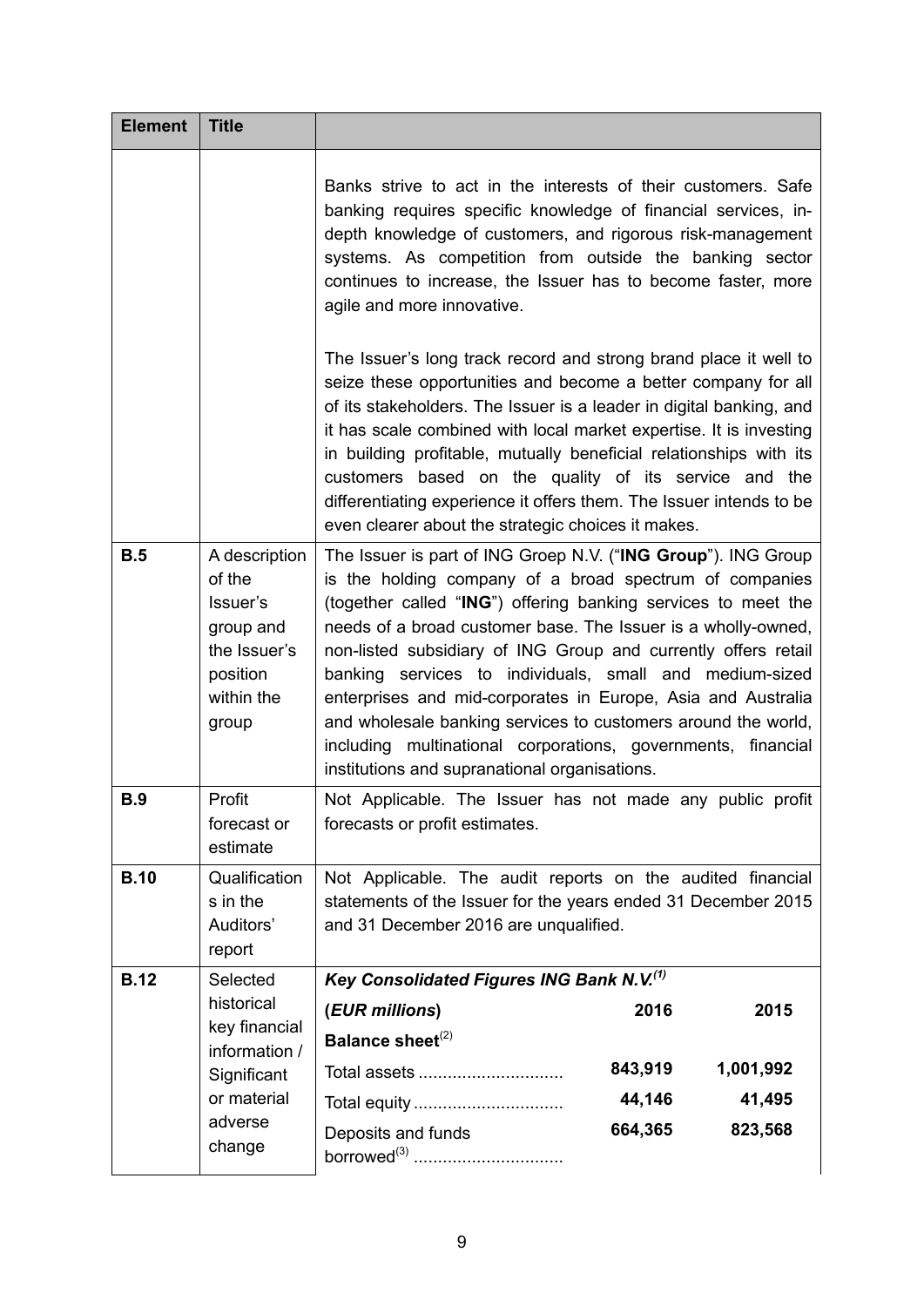| <b>Element</b> | <b>Title</b>                                                                                        |                                                                                                                                                                                                                                                                                                                                                                                                                                                                                                                                                                                                                                                                                                                                                                         |  |
|----------------|-----------------------------------------------------------------------------------------------------|-------------------------------------------------------------------------------------------------------------------------------------------------------------------------------------------------------------------------------------------------------------------------------------------------------------------------------------------------------------------------------------------------------------------------------------------------------------------------------------------------------------------------------------------------------------------------------------------------------------------------------------------------------------------------------------------------------------------------------------------------------------------------|--|
|                |                                                                                                     | Banks strive to act in the interests of their customers. Safe<br>banking requires specific knowledge of financial services, in-<br>depth knowledge of customers, and rigorous risk-management<br>systems. As competition from outside the banking sector<br>continues to increase, the Issuer has to become faster, more<br>agile and more innovative.<br>The Issuer's long track record and strong brand place it well to<br>seize these opportunities and become a better company for all<br>of its stakeholders. The Issuer is a leader in digital banking, and<br>it has scale combined with local market expertise. It is investing<br>in building profitable, mutually beneficial relationships with its<br>customers based on the quality of its service and the |  |
|                |                                                                                                     | differentiating experience it offers them. The Issuer intends to be<br>even clearer about the strategic choices it makes.                                                                                                                                                                                                                                                                                                                                                                                                                                                                                                                                                                                                                                               |  |
| B.5            | A description<br>of the<br>Issuer's<br>group and<br>the Issuer's<br>position<br>within the<br>group | The Issuer is part of ING Groep N.V. ("ING Group"). ING Group<br>is the holding company of a broad spectrum of companies<br>(together called "ING") offering banking services to meet the<br>needs of a broad customer base. The Issuer is a wholly-owned,<br>non-listed subsidiary of ING Group and currently offers retail<br>banking services to individuals, small and medium-sized<br>enterprises and mid-corporates in Europe, Asia and Australia<br>and wholesale banking services to customers around the world,<br>including multinational corporations, governments, financial<br>institutions and supranational organisations.                                                                                                                               |  |
| <b>B.9</b>     | Profit<br>forecast or<br>estimate                                                                   | Not Applicable. The Issuer has not made any public profit<br>forecasts or profit estimates.                                                                                                                                                                                                                                                                                                                                                                                                                                                                                                                                                                                                                                                                             |  |
| <b>B.10</b>    | Qualification<br>s in the<br>Auditors'<br>report                                                    | Not Applicable. The audit reports on the audited financial<br>statements of the Issuer for the years ended 31 December 2015<br>and 31 December 2016 are unqualified.                                                                                                                                                                                                                                                                                                                                                                                                                                                                                                                                                                                                    |  |
| <b>B.12</b>    | Selected                                                                                            | Key Consolidated Figures ING Bank N.V.(1)                                                                                                                                                                                                                                                                                                                                                                                                                                                                                                                                                                                                                                                                                                                               |  |
|                | historical<br>key financial                                                                         | (EUR millions)<br>2016<br>2015<br>Balance sheet <sup>(2)</sup>                                                                                                                                                                                                                                                                                                                                                                                                                                                                                                                                                                                                                                                                                                          |  |
|                | information /<br>Significant                                                                        | 843,919<br>1,001,992<br>Total assets                                                                                                                                                                                                                                                                                                                                                                                                                                                                                                                                                                                                                                                                                                                                    |  |
|                | or material                                                                                         | 44,146<br>41,495<br>Total equity                                                                                                                                                                                                                                                                                                                                                                                                                                                                                                                                                                                                                                                                                                                                        |  |
|                | adverse<br>change                                                                                   | 664,365<br>823,568<br>Deposits and funds                                                                                                                                                                                                                                                                                                                                                                                                                                                                                                                                                                                                                                                                                                                                |  |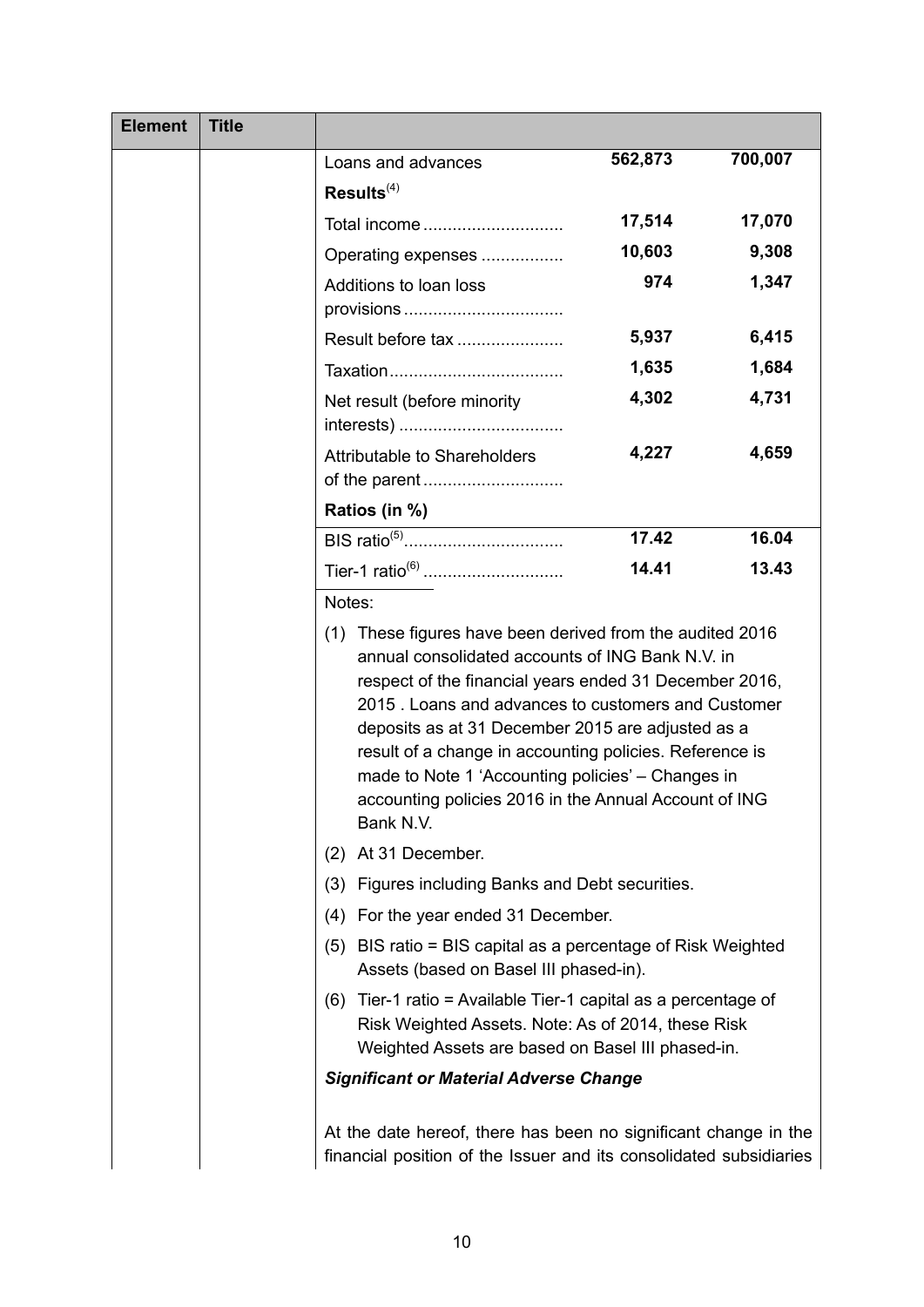| <b>Element</b> | <b>Title</b> |                                                                                                                                                                                                                                                                                                                                                                                                                                                                           |         |         |
|----------------|--------------|---------------------------------------------------------------------------------------------------------------------------------------------------------------------------------------------------------------------------------------------------------------------------------------------------------------------------------------------------------------------------------------------------------------------------------------------------------------------------|---------|---------|
|                |              | Loans and advances                                                                                                                                                                                                                                                                                                                                                                                                                                                        | 562,873 | 700,007 |
|                |              | Results <sup>(4)</sup>                                                                                                                                                                                                                                                                                                                                                                                                                                                    |         |         |
|                |              | Total income                                                                                                                                                                                                                                                                                                                                                                                                                                                              | 17,514  | 17,070  |
|                |              | Operating expenses                                                                                                                                                                                                                                                                                                                                                                                                                                                        | 10,603  | 9,308   |
|                |              | Additions to loan loss<br>provisions                                                                                                                                                                                                                                                                                                                                                                                                                                      | 974     | 1,347   |
|                |              | Result before tax                                                                                                                                                                                                                                                                                                                                                                                                                                                         | 5,937   | 6,415   |
|                |              |                                                                                                                                                                                                                                                                                                                                                                                                                                                                           | 1,635   | 1,684   |
|                |              | Net result (before minority                                                                                                                                                                                                                                                                                                                                                                                                                                               | 4,302   | 4,731   |
|                |              | Attributable to Shareholders                                                                                                                                                                                                                                                                                                                                                                                                                                              | 4,227   | 4,659   |
|                |              | Ratios (in %)                                                                                                                                                                                                                                                                                                                                                                                                                                                             |         |         |
|                |              | BIS ratio <sup>(5)</sup>                                                                                                                                                                                                                                                                                                                                                                                                                                                  | 17.42   | 16.04   |
|                |              | Tier-1 ratio <sup>(6)</sup>                                                                                                                                                                                                                                                                                                                                                                                                                                               | 14.41   | 13.43   |
|                |              | Notes:                                                                                                                                                                                                                                                                                                                                                                                                                                                                    |         |         |
|                |              | (1) These figures have been derived from the audited 2016<br>annual consolidated accounts of ING Bank N.V. in<br>respect of the financial years ended 31 December 2016,<br>2015 . Loans and advances to customers and Customer<br>deposits as at 31 December 2015 are adjusted as a<br>result of a change in accounting policies. Reference is<br>made to Note 1 'Accounting policies' - Changes in<br>accounting policies 2016 in the Annual Account of ING<br>Bank N.V. |         |         |
|                |              | At 31 December.<br>(2)                                                                                                                                                                                                                                                                                                                                                                                                                                                    |         |         |
|                |              | (3) Figures including Banks and Debt securities.                                                                                                                                                                                                                                                                                                                                                                                                                          |         |         |
|                |              | (4) For the year ended 31 December.                                                                                                                                                                                                                                                                                                                                                                                                                                       |         |         |
|                |              | (5) BIS ratio = BIS capital as a percentage of Risk Weighted<br>Assets (based on Basel III phased-in).                                                                                                                                                                                                                                                                                                                                                                    |         |         |
|                |              | Tier-1 ratio = Available Tier-1 capital as a percentage of<br>(6)<br>Risk Weighted Assets. Note: As of 2014, these Risk<br>Weighted Assets are based on Basel III phased-in.                                                                                                                                                                                                                                                                                              |         |         |
|                |              | <b>Significant or Material Adverse Change</b>                                                                                                                                                                                                                                                                                                                                                                                                                             |         |         |
|                |              | At the date hereof, there has been no significant change in the<br>financial position of the Issuer and its consolidated subsidiaries                                                                                                                                                                                                                                                                                                                                     |         |         |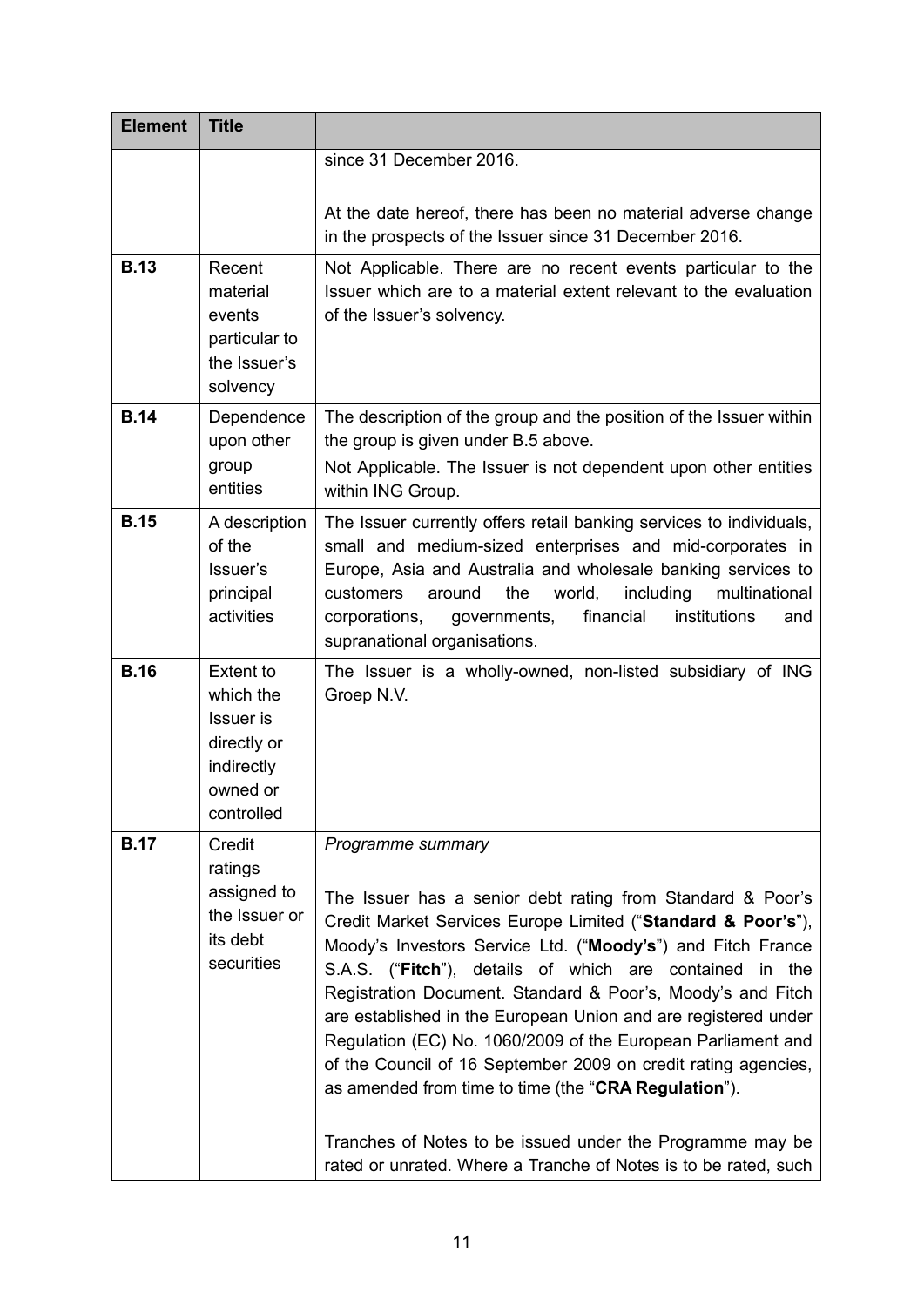| <b>Element</b> | <b>Title</b>                                                                                      |                                                                                                                                                                                                                                                                                                                                                                                                                                                                                                                                                                                                                                                                                                                                      |  |
|----------------|---------------------------------------------------------------------------------------------------|--------------------------------------------------------------------------------------------------------------------------------------------------------------------------------------------------------------------------------------------------------------------------------------------------------------------------------------------------------------------------------------------------------------------------------------------------------------------------------------------------------------------------------------------------------------------------------------------------------------------------------------------------------------------------------------------------------------------------------------|--|
|                |                                                                                                   | since 31 December 2016.                                                                                                                                                                                                                                                                                                                                                                                                                                                                                                                                                                                                                                                                                                              |  |
|                |                                                                                                   | At the date hereof, there has been no material adverse change<br>in the prospects of the Issuer since 31 December 2016.                                                                                                                                                                                                                                                                                                                                                                                                                                                                                                                                                                                                              |  |
| <b>B.13</b>    | Recent<br>material<br>events<br>particular to<br>the Issuer's<br>solvency                         | Not Applicable. There are no recent events particular to the<br>Issuer which are to a material extent relevant to the evaluation<br>of the Issuer's solvency.                                                                                                                                                                                                                                                                                                                                                                                                                                                                                                                                                                        |  |
| <b>B.14</b>    | Dependence<br>upon other<br>group<br>entities                                                     | The description of the group and the position of the Issuer within<br>the group is given under B.5 above.<br>Not Applicable. The Issuer is not dependent upon other entities<br>within ING Group.                                                                                                                                                                                                                                                                                                                                                                                                                                                                                                                                    |  |
| <b>B.15</b>    | A description<br>of the<br>Issuer's<br>principal<br>activities                                    | The Issuer currently offers retail banking services to individuals,<br>small and medium-sized enterprises and mid-corporates in<br>Europe, Asia and Australia and wholesale banking services to<br>the<br>world,<br>including<br>multinational<br>customers<br>around<br>financial<br>institutions<br>corporations,<br>governments,<br>and<br>supranational organisations.                                                                                                                                                                                                                                                                                                                                                           |  |
| <b>B.16</b>    | Extent to<br>which the<br><b>Issuer</b> is<br>directly or<br>indirectly<br>owned or<br>controlled | The Issuer is a wholly-owned, non-listed subsidiary of ING<br>Groep N.V.                                                                                                                                                                                                                                                                                                                                                                                                                                                                                                                                                                                                                                                             |  |
| <b>B.17</b>    | Credit<br>ratings<br>assigned to<br>the Issuer or<br>its debt<br>securities                       | Programme summary<br>The Issuer has a senior debt rating from Standard & Poor's<br>Credit Market Services Europe Limited ("Standard & Poor's"),<br>Moody's Investors Service Ltd. ("Moody's") and Fitch France<br>S.A.S. ("Fitch"), details of which are contained in the<br>Registration Document. Standard & Poor's, Moody's and Fitch<br>are established in the European Union and are registered under<br>Regulation (EC) No. 1060/2009 of the European Parliament and<br>of the Council of 16 September 2009 on credit rating agencies,<br>as amended from time to time (the "CRA Regulation").<br>Tranches of Notes to be issued under the Programme may be<br>rated or unrated. Where a Tranche of Notes is to be rated, such |  |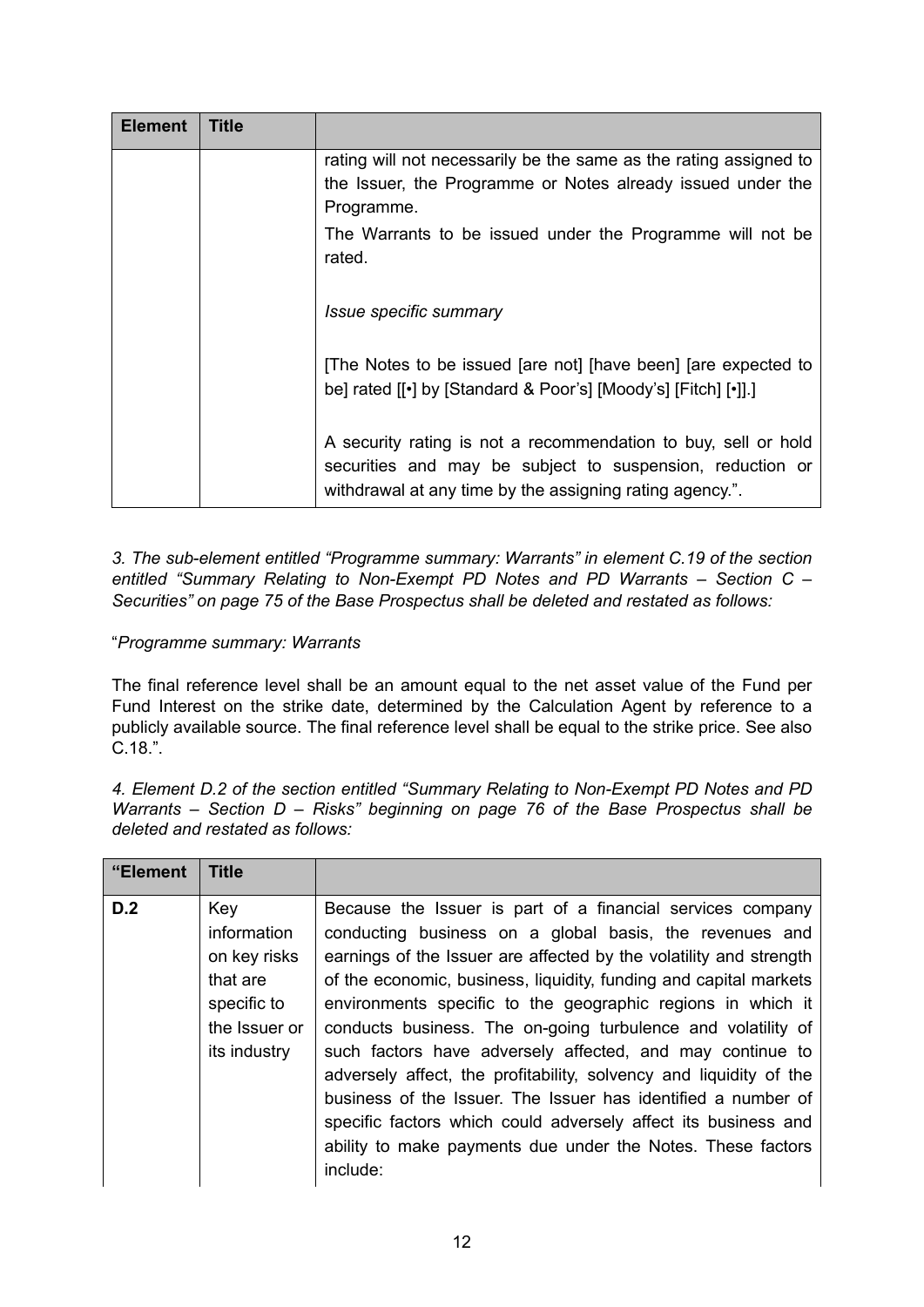| <b>Element</b>                | Title                                                                                                                            |                                                                                                                                                                                         |  |
|-------------------------------|----------------------------------------------------------------------------------------------------------------------------------|-----------------------------------------------------------------------------------------------------------------------------------------------------------------------------------------|--|
|                               | rating will not necessarily be the same as the rating assigned to<br>the Issuer, the Programme or Notes already issued under the |                                                                                                                                                                                         |  |
|                               |                                                                                                                                  |                                                                                                                                                                                         |  |
|                               |                                                                                                                                  | Programme.                                                                                                                                                                              |  |
|                               | The Warrants to be issued under the Programme will not be<br>rated.                                                              |                                                                                                                                                                                         |  |
| <i>Issue specific summary</i> |                                                                                                                                  |                                                                                                                                                                                         |  |
|                               |                                                                                                                                  | [The Notes to be issued [are not] [have been] [are expected to<br>be] rated [[.] by [Standard & Poor's] [Moody's] [Fitch] [.]]                                                          |  |
|                               |                                                                                                                                  | A security rating is not a recommendation to buy, sell or hold<br>securities and may be subject to suspension, reduction or<br>withdrawal at any time by the assigning rating agency.". |  |

*3. The sub-element entitled "Programme summary: Warrants" in element C.19 of the section entitled "Summary Relating to Non-Exempt PD Notes and PD Warrants – Section C – Securities" on page 75 of the Base Prospectus shall be deleted and restated as follows:*

# "*Programme summary: Warrants*

The final reference level shall be an amount equal to the net asset value of the Fund per Fund Interest on the strike date, determined by the Calculation Agent by reference to a publicly available source. The final reference level shall be equal to the strike price. See also C.18.".

*4. Element D.2 of the section entitled "Summary Relating to Non-Exempt PD Notes and PD Warrants – Section D – Risks" beginning on page 76 of the Base Prospectus shall be deleted and restated as follows:*

| "Element | <b>Title</b>                                                                                   |                                                                                                                                                                                                                                                                                                                                                                                                                                                                                                                                                                                                                                                                                                                                                  |
|----------|------------------------------------------------------------------------------------------------|--------------------------------------------------------------------------------------------------------------------------------------------------------------------------------------------------------------------------------------------------------------------------------------------------------------------------------------------------------------------------------------------------------------------------------------------------------------------------------------------------------------------------------------------------------------------------------------------------------------------------------------------------------------------------------------------------------------------------------------------------|
| D.2      | Key<br>information<br>on key risks<br>that are<br>specific to<br>the Issuer or<br>its industry | Because the Issuer is part of a financial services company<br>conducting business on a global basis, the revenues and<br>earnings of the Issuer are affected by the volatility and strength<br>of the economic, business, liquidity, funding and capital markets<br>environments specific to the geographic regions in which it<br>conducts business. The on-going turbulence and volatility of<br>such factors have adversely affected, and may continue to<br>adversely affect, the profitability, solvency and liquidity of the<br>business of the Issuer. The Issuer has identified a number of<br>specific factors which could adversely affect its business and<br>ability to make payments due under the Notes. These factors<br>include: |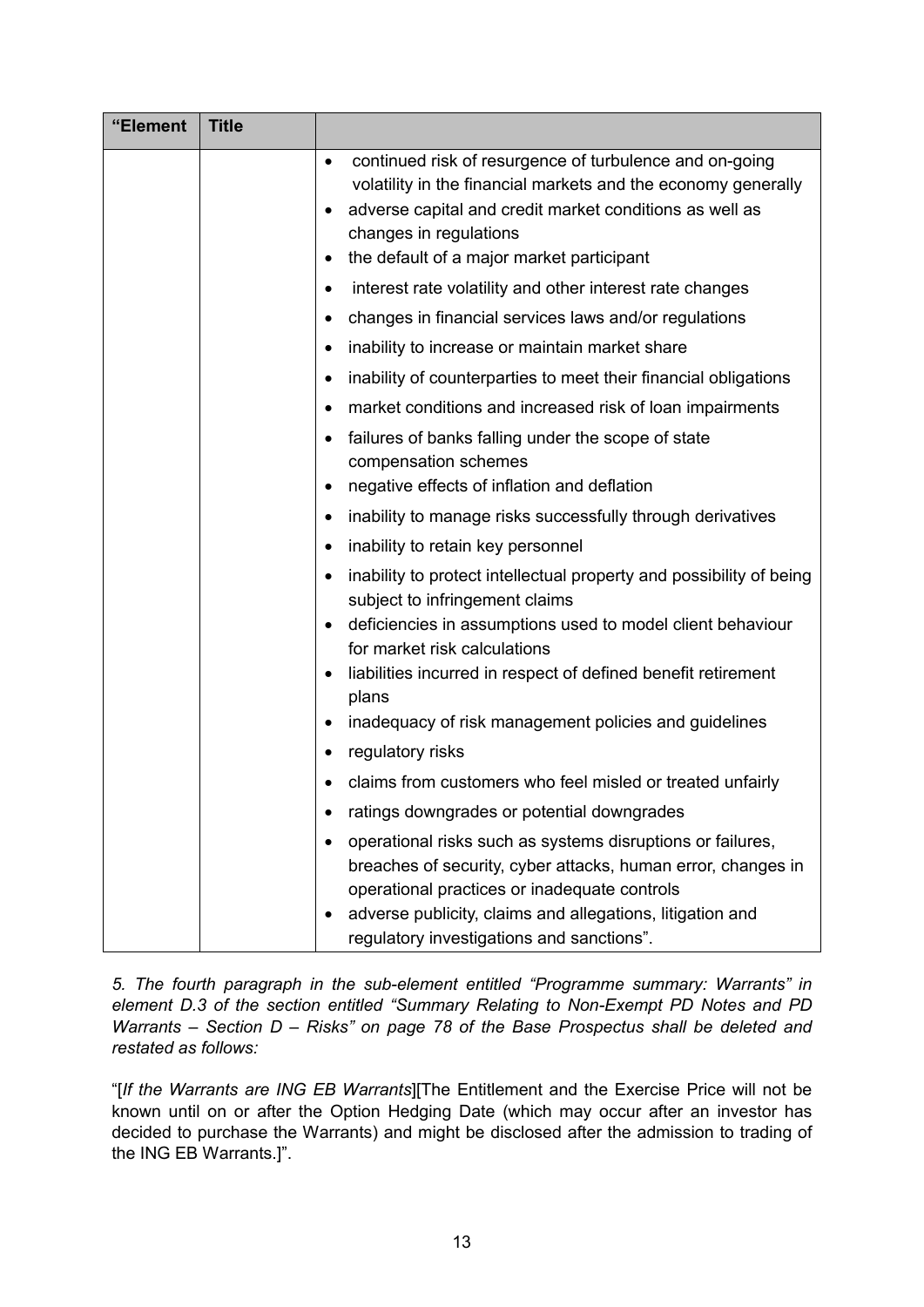| "Element                                         | <b>Title</b> |                                                                                                                                                                                                                                                                                                |  |
|--------------------------------------------------|--------------|------------------------------------------------------------------------------------------------------------------------------------------------------------------------------------------------------------------------------------------------------------------------------------------------|--|
| $\bullet$<br>$\bullet$<br>changes in regulations |              | continued risk of resurgence of turbulence and on-going<br>volatility in the financial markets and the economy generally<br>adverse capital and credit market conditions as well as                                                                                                            |  |
|                                                  |              | the default of a major market participant<br>٠                                                                                                                                                                                                                                                 |  |
|                                                  |              | interest rate volatility and other interest rate changes<br>$\bullet$                                                                                                                                                                                                                          |  |
|                                                  |              | changes in financial services laws and/or regulations<br>٠                                                                                                                                                                                                                                     |  |
|                                                  |              | inability to increase or maintain market share<br>٠<br>inability of counterparties to meet their financial obligations                                                                                                                                                                         |  |
|                                                  |              | ٠<br>market conditions and increased risk of loan impairments                                                                                                                                                                                                                                  |  |
|                                                  |              | ٠<br>failures of banks falling under the scope of state<br>٠<br>compensation schemes<br>negative effects of inflation and deflation<br>٠                                                                                                                                                       |  |
|                                                  |              | inability to manage risks successfully through derivatives<br>٠                                                                                                                                                                                                                                |  |
|                                                  |              | inability to retain key personnel<br>٠                                                                                                                                                                                                                                                         |  |
|                                                  |              | inability to protect intellectual property and possibility of being<br>٠<br>subject to infringement claims<br>deficiencies in assumptions used to model client behaviour<br>٠<br>for market risk calculations                                                                                  |  |
|                                                  |              | liabilities incurred in respect of defined benefit retirement<br>٠<br>plans                                                                                                                                                                                                                    |  |
|                                                  |              | inadequacy of risk management policies and guidelines<br>٠                                                                                                                                                                                                                                     |  |
|                                                  |              | regulatory risks<br>$\bullet$                                                                                                                                                                                                                                                                  |  |
|                                                  |              | claims from customers who feel misled or treated unfairly                                                                                                                                                                                                                                      |  |
|                                                  |              | ratings downgrades or potential downgrades                                                                                                                                                                                                                                                     |  |
|                                                  |              | operational risks such as systems disruptions or failures,<br>٠<br>breaches of security, cyber attacks, human error, changes in<br>operational practices or inadequate controls<br>adverse publicity, claims and allegations, litigation and<br>٠<br>regulatory investigations and sanctions". |  |

*5. The fourth paragraph in the sub-element entitled "Programme summary: Warrants" in element D.3 of the section entitled "Summary Relating to Non-Exempt PD Notes and PD Warrants – Section D – Risks" on page 78 of the Base Prospectus shall be deleted and restated as follows:*

"[*If the Warrants are ING EB Warrants*][The Entitlement and the Exercise Price will not be known until on or after the Option Hedging Date (which may occur after an investor has decided to purchase the Warrants) and might be disclosed after the admission to trading of the ING EB Warrants.]".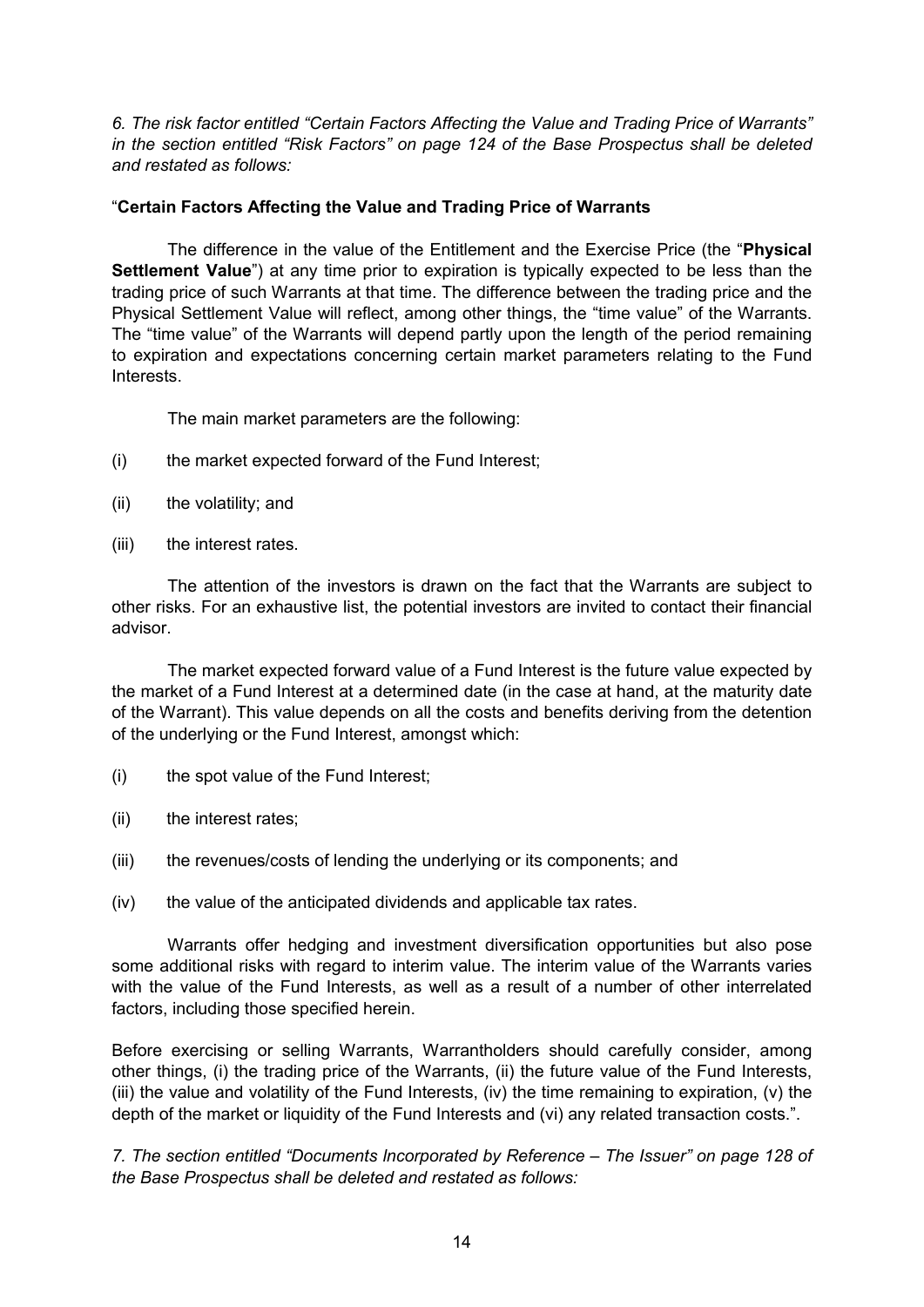*6. The risk factor entitled "Certain Factors Affecting the Value and Trading Price of Warrants" in the section entitled "Risk Factors" on page 124 of the Base Prospectus shall be deleted and restated as follows:*

## "**Certain Factors Affecting the Value and Trading Price of Warrants**

The difference in the value of the Entitlement and the Exercise Price (the "**Physical Settlement Value**") at any time prior to expiration is typically expected to be less than the trading price of such Warrants at that time. The difference between the trading price and the Physical Settlement Value will reflect, among other things, the "time value" of the Warrants. The "time value" of the Warrants will depend partly upon the length of the period remaining to expiration and expectations concerning certain market parameters relating to the Fund Interests.

The main market parameters are the following:

- (i) the market expected forward of the Fund Interest;
- (ii) the volatility; and
- (iii) the interest rates.

The attention of the investors is drawn on the fact that the Warrants are subject to other risks. For an exhaustive list, the potential investors are invited to contact their financial advisor.

The market expected forward value of a Fund Interest is the future value expected by the market of a Fund Interest at a determined date (in the case at hand, at the maturity date of the Warrant). This value depends on all the costs and benefits deriving from the detention of the underlying or the Fund Interest, amongst which:

- (i) the spot value of the Fund Interest;
- (ii) the interest rates;
- (iii) the revenues/costs of lending the underlying or its components; and
- (iv) the value of the anticipated dividends and applicable tax rates.

Warrants offer hedging and investment diversification opportunities but also pose some additional risks with regard to interim value. The interim value of the Warrants varies with the value of the Fund Interests, as well as a result of a number of other interrelated factors, including those specified herein.

Before exercising or selling Warrants, Warrantholders should carefully consider, among other things, (i) the trading price of the Warrants, (ii) the future value of the Fund Interests, (iii) the value and volatility of the Fund Interests, (iv) the time remaining to expiration, (v) the depth of the market or liquidity of the Fund Interests and (vi) any related transaction costs.".

*7. The section entitled "Documents lncorporated by Reference – The Issuer" on page 128 of the Base Prospectus shall be deleted and restated as follows:*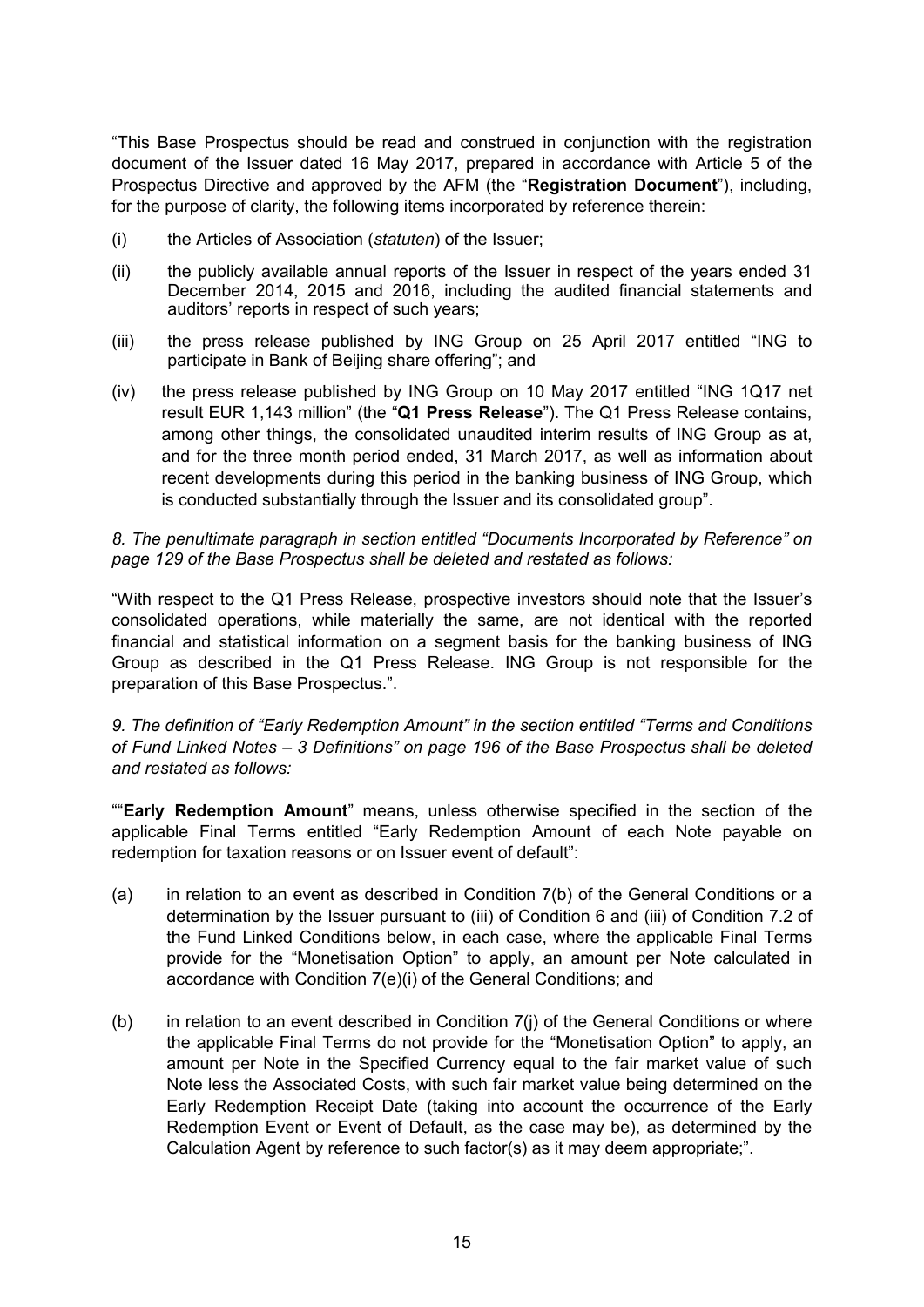"This Base Prospectus should be read and construed in conjunction with the registration document of the Issuer dated 16 May 2017, prepared in accordance with Article 5 of the Prospectus Directive and approved by the AFM (the "**Registration Document**"), including, for the purpose of clarity, the following items incorporated by reference therein:

- (i) the Articles of Association (*statuten*) of the Issuer;
- (ii) the publicly available annual reports of the Issuer in respect of the years ended 31 December 2014, 2015 and 2016, including the audited financial statements and auditors' reports in respect of such years;
- (iii) the press release published by ING Group on 25 April 2017 entitled "ING to participate in Bank of Beijing share offering"; and
- (iv) the press release published by ING Group on 10 May 2017 entitled "ING 1Q17 net result EUR 1,143 million" (the "**Q1 Press Release**"). The Q1 Press Release contains, among other things, the consolidated unaudited interim results of ING Group as at, and for the three month period ended, 31 March 2017, as well as information about recent developments during this period in the banking business of ING Group, which is conducted substantially through the Issuer and its consolidated group".

## *8. The penultimate paragraph in section entitled "Documents Incorporated by Reference" on page 129 of the Base Prospectus shall be deleted and restated as follows:*

"With respect to the Q1 Press Release, prospective investors should note that the Issuer's consolidated operations, while materially the same, are not identical with the reported financial and statistical information on a segment basis for the banking business of ING Group as described in the Q1 Press Release. ING Group is not responsible for the preparation of this Base Prospectus.".

*9. The definition of "Early Redemption Amount" in the section entitled "Terms and Conditions of Fund Linked Notes – 3 Definitions" on page 196 of the Base Prospectus shall be deleted and restated as follows:*

""**Early Redemption Amount**" means, unless otherwise specified in the section of the applicable Final Terms entitled "Early Redemption Amount of each Note payable on redemption for taxation reasons or on Issuer event of default":

- (a) in relation to an event as described in Condition 7(b) of the General Conditions or a determination by the Issuer pursuant to (iii) of Condition 6 and (iii) of Condition 7.2 of the Fund Linked Conditions below, in each case, where the applicable Final Terms provide for the "Monetisation Option" to apply, an amount per Note calculated in accordance with Condition 7(e)(i) of the General Conditions; and
- (b) in relation to an event described in Condition 7(j) of the General Conditions or where the applicable Final Terms do not provide for the "Monetisation Option" to apply, an amount per Note in the Specified Currency equal to the fair market value of such Note less the Associated Costs, with such fair market value being determined on the Early Redemption Receipt Date (taking into account the occurrence of the Early Redemption Event or Event of Default, as the case may be), as determined by the Calculation Agent by reference to such factor(s) as it may deem appropriate;".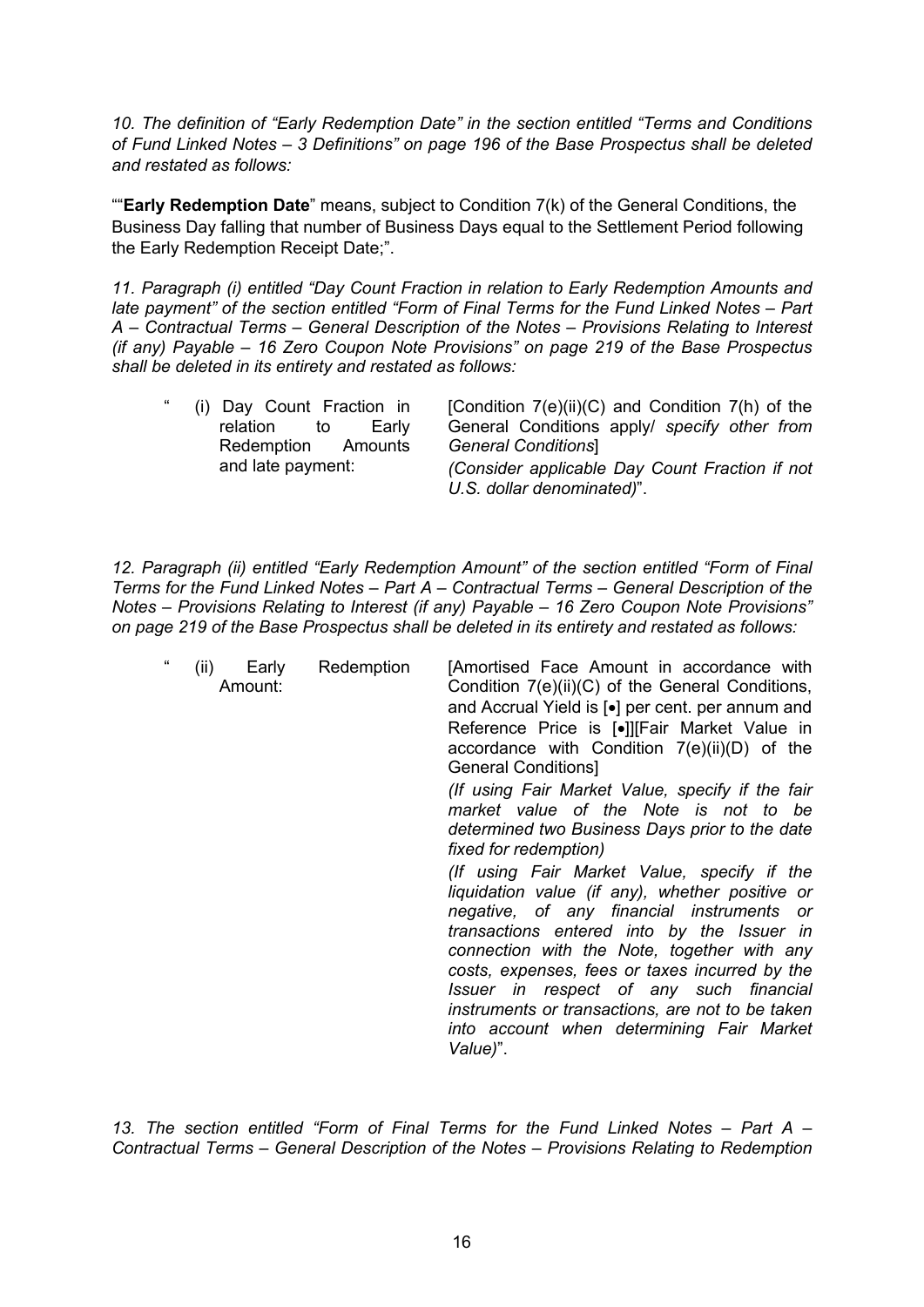*10. The definition of "Early Redemption Date" in the section entitled "Terms and Conditions of Fund Linked Notes – 3 Definitions" on page 196 of the Base Prospectus shall be deleted and restated as follows:*

""**Early Redemption Date**" means, subject to Condition 7(k) of the General Conditions, the Business Day falling that number of Business Days equal to the Settlement Period following the Early Redemption Receipt Date;".

*11. Paragraph (i) entitled "Day Count Fraction in relation to Early Redemption Amounts and late payment" of the section entitled "Form of Final Terms for the Fund Linked Notes – Part A – Contractual Terms – General Description of the Notes – Provisions Relating to Interest (if any) Payable – 16 Zero Coupon Note Provisions" on page 219 of the Base Prospectus shall be deleted in its entirety and restated as follows:* 

| "<br>(i) Day Count Fraction in | [Condition $7(e)(ii)(C)$ and Condition $7(h)$ of the |
|--------------------------------|------------------------------------------------------|
| Early<br>relation<br>to        | General Conditions apply/ specify other from         |
| Redemption Amounts             | <b>General Conditions</b>                            |
| and late payment:              | (Consider applicable Day Count Fraction if not       |
|                                | U.S. dollar denominated)".                           |

*12. Paragraph (ii) entitled "Early Redemption Amount" of the section entitled "Form of Final Terms for the Fund Linked Notes – Part A – Contractual Terms – General Description of the Notes – Provisions Relating to Interest (if any) Payable – 16 Zero Coupon Note Provisions" on page 219 of the Base Prospectus shall be deleted in its entirety and restated as follows:* 

| $\epsilon$ | (ii)<br>Early<br>Amount: | Redemption | [Amortised Face Amount in accordance with<br>Condition 7(e)(ii)(C) of the General Conditions,<br>and Accrual Yield is [•] per cent. per annum and<br>Reference Price is [•]][Fair Market Value in<br>accordance with Condition $7(e)(ii)(D)$ of the<br><b>General Conditions</b> ]                                                                                                                                                                 |
|------------|--------------------------|------------|----------------------------------------------------------------------------------------------------------------------------------------------------------------------------------------------------------------------------------------------------------------------------------------------------------------------------------------------------------------------------------------------------------------------------------------------------|
|            |                          |            | (If using Fair Market Value, specify if the fair<br>market value of the Note is not to be<br>determined two Business Days prior to the date<br>fixed for redemption)                                                                                                                                                                                                                                                                               |
|            |                          |            | (If using Fair Market Value, specify if the<br>liquidation value (if any), whether positive or<br>negative, of any financial instruments or<br>transactions entered into by the Issuer in<br>connection with the Note, together with any<br>costs, expenses, fees or taxes incurred by the<br>Issuer in respect of any such financial<br>instruments or transactions, are not to be taken<br>into account when determining Fair Market<br>Value)". |

*13. The section entitled "Form of Final Terms for the Fund Linked Notes – Part A – Contractual Terms – General Description of the Notes – Provisions Relating to Redemption*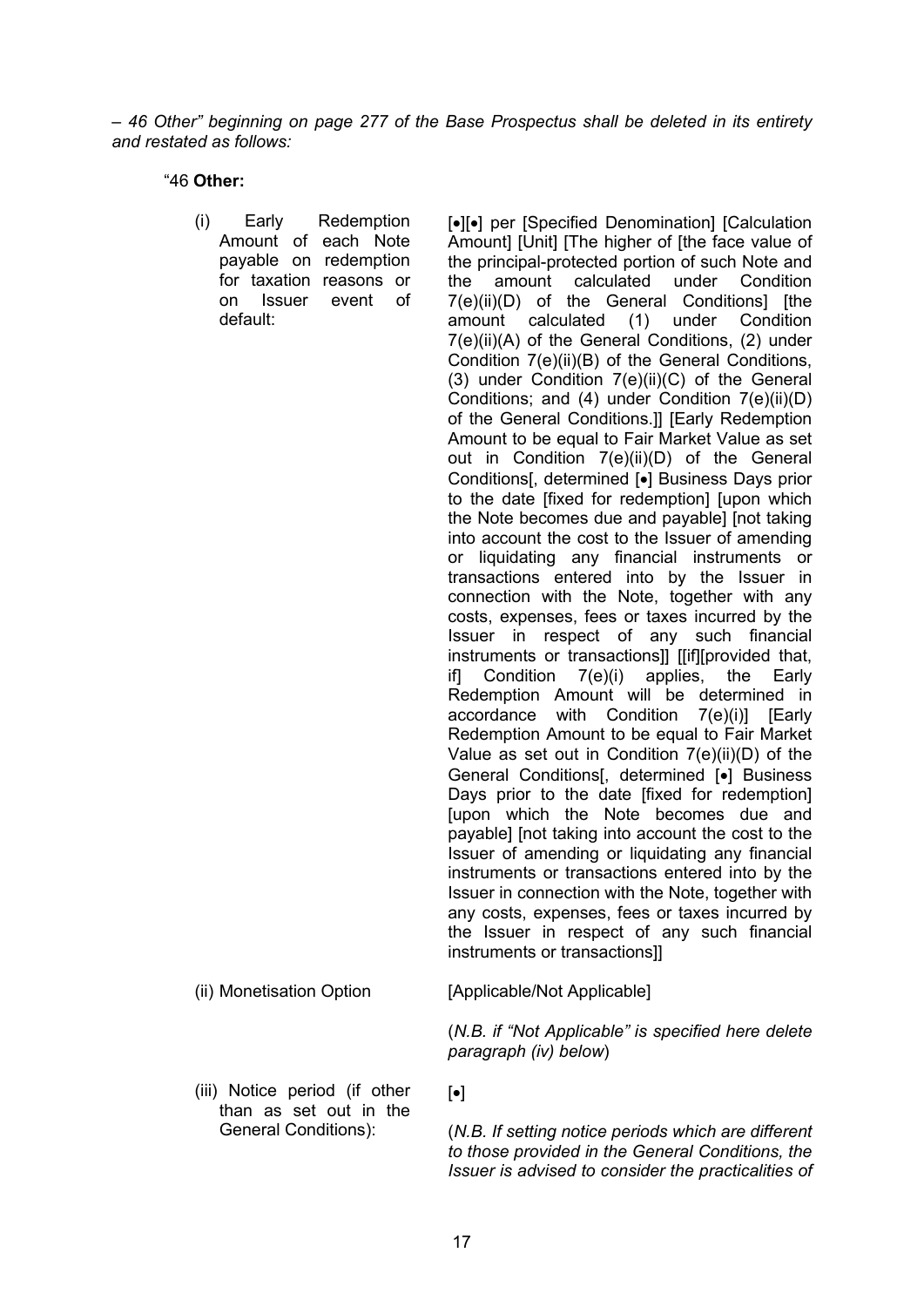*– 46 Other" beginning on page 277 of the Base Prospectus shall be deleted in its entirety and restated as follows:* 

"46 **Other:**

(i) Early Redemption Amount of each Note payable on redemption for taxation reasons or on Issuer event of default:

[ $\bullet$ ][ $\bullet$ ] per [Specified Denomination] [Calculation] Amount] [Unit] [The higher of [the face value of the principal-protected portion of such Note and the amount calculated under Condition 7(e)(ii)(D) of the General Conditionsl Ithe amount calculated (1) under Condition 7(e)(ii)(A) of the General Conditions, (2) under Condition 7(e)(ii)(B) of the General Conditions, (3) under Condition 7(e)(ii)(C) of the General Conditions; and (4) under Condition 7(e)(ii)(D) of the General Conditions.]] [Early Redemption Amount to be equal to Fair Market Value as set out in Condition 7(e)(ii)(D) of the General Conditions, determined [•] Business Days prior to the date [fixed for redemption] [upon which the Note becomes due and payable] [not taking into account the cost to the Issuer of amending or liquidating any financial instruments or transactions entered into by the Issuer in connection with the Note, together with any costs, expenses, fees or taxes incurred by the Issuer in respect of any such financial instruments or transactions]] [[if][provided that, if] Condition 7(e)(i) applies, the Early Redemption Amount will be determined in accordance with Condition 7(e)(i)] [Early Redemption Amount to be equal to Fair Market Value as set out in Condition 7(e)(ii)(D) of the General Conditions[, determined [•] Business Days prior to the date [fixed for redemption] [upon which the Note becomes due and payable] [not taking into account the cost to the Issuer of amending or liquidating any financial instruments or transactions entered into by the Issuer in connection with the Note, together with any costs, expenses, fees or taxes incurred by the Issuer in respect of any such financial instruments or transactions]]

(iii) Notice period (if other than as set out in the General Conditions):

(ii) Monetisation Option [Applicable/Not Applicable]

(*N.B. if "Not Applicable" is specified here delete paragraph (iv) below*)

 $\lceil \bullet \rceil$ 

(*N.B. If setting notice periods which are different to those provided in the General Conditions, the Issuer is advised to consider the practicalities of*